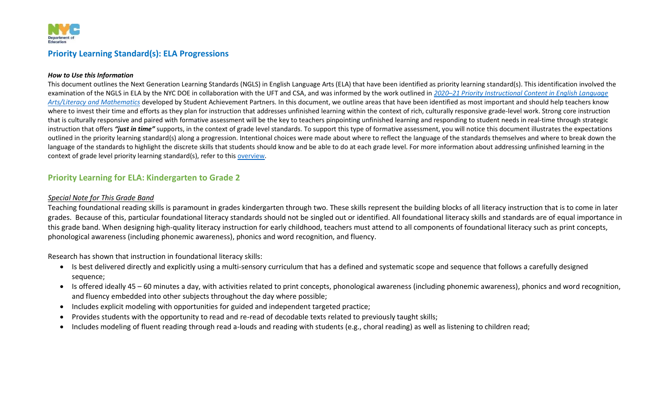

### **Priority Learning Standard(s): ELA Progressions**

#### *How to Use this Information*

This document outlines the Next Generation Learning Standards (NGLS) in English Language Arts (ELA) that have been identified as priority learning standard(s). This identification involved the examination of the NGLS in ELA by the NYC DOE in collaboration with the UFT and CSA, and was informed by the work outlined in *2020–[21 Priority Instructional Content in English Language](https://achievethecore.org/page/3267/2020-21-priority-instructional-content-in-english-language-arts-literacy-and-mathematics)  [Arts/Literacy and Mathematics](https://achievethecore.org/page/3267/2020-21-priority-instructional-content-in-english-language-arts-literacy-and-mathematics)* developed by Student Achievement Partners. In this document, we outline areas that have been identified as most important and should help teachers know where to invest their time and efforts as they plan for instruction that addresses unfinished learning within the context of rich, culturally responsive grade-level work. Strong core instruction that is culturally responsive and paired with formative assessment will be the key to teachers pinpointing unfinished learning and responding to student needs in real-time through strategic instruction that offers *"just in time"* supports, in the context of grade level standards. To support this type of formative assessment, you will notice this document illustrates the expectations outlined in the priority learning standard(s) along a progression. Intentional choices were made about where to reflect the language of the standards themselves and where to break down the language of the standards to highlight the discrete skills that students should know and be able to do at each grade level. For more information about addressing unfinished learning in the context of grade level priority learning standard(s), refer to this [overview.](https://nycdoe.sharepoint.com/:f:/s/CIPLPLContent/EuSgVXRwX1lApVoxjNnU7g0B9mEUg27pkuoHH02dLftzYg?e=yhRhza)

### **Priority Learning for ELA: Kindergarten to Grade 2**

### *Special Note for This Grade Band*

Teaching foundational reading skills is paramount in grades kindergarten through two. These skills represent the building blocks of all literacy instruction that is to come in later grades. Because of this, particular foundational literacy standards should not be singled out or identified. All foundational literacy skills and standards are of equal importance in this grade band. When designing high-quality literacy instruction for early childhood, teachers must attend to all components of foundational literacy such as print concepts, phonological awareness (including phonemic awareness), phonics and word recognition, and fluency.

Research has shown that instruction in foundational literacy skills:

- Is best delivered directly and explicitly using a multi-sensory curriculum that has a defined and systematic scope and sequence that follows a carefully designed sequence;
- Is offered ideally 45 60 minutes a day, with activities related to print concepts, phonological awareness (including phonemic awareness), phonics and word recognition, and fluency embedded into other subjects throughout the day where possible;
- Includes explicit modeling with opportunities for guided and independent targeted practice;
- Provides students with the opportunity to read and re-read of decodable texts related to previously taught skills;
- Includes modeling of fluent reading through read a-louds and reading with students (e.g., choral reading) as well as listening to children read;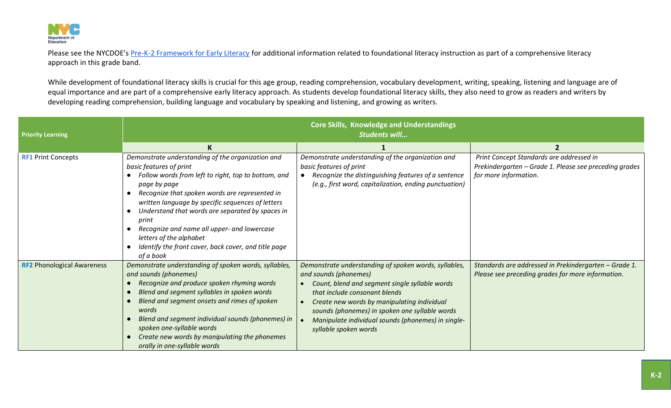

Please see the NYCDOE's [Pre-K-2 Framework for Early Literacy](https://www.weteachnyc.org/media2016/filer_public/3f/4a/3f4a1be6-6212-419b-92b2-04173cdf8eb9/pre-k-to-2-framework-for-early-literacy.pdf) for additional information related to foundational literacy instruction as part of a comprehensive literacy approach in this grade band.

While development of foundational literacy skills is crucial for this age group, reading comprehension, vocabulary development, writing, speaking, listening and language are of equal importance and are part of a comprehensive early literacy approach. As students develop foundational literacy skills, they also need to grow as readers and writers by developing reading comprehension, building language and vocabulary by speaking and listening, and growing as writers.

| <b>Priority Learning</b>          | <b>Core Skills, Knowledge and Understandings</b><br><b>Students will</b>                                                                                                                                                                                                                                                                                                                                                                                               |                                                                                                                                                                                                                                                                                                                                                   |                                                                                                                             |
|-----------------------------------|------------------------------------------------------------------------------------------------------------------------------------------------------------------------------------------------------------------------------------------------------------------------------------------------------------------------------------------------------------------------------------------------------------------------------------------------------------------------|---------------------------------------------------------------------------------------------------------------------------------------------------------------------------------------------------------------------------------------------------------------------------------------------------------------------------------------------------|-----------------------------------------------------------------------------------------------------------------------------|
|                                   |                                                                                                                                                                                                                                                                                                                                                                                                                                                                        |                                                                                                                                                                                                                                                                                                                                                   |                                                                                                                             |
| <b>RF1 Print Concepts</b>         | Demonstrate understanding of the organization and<br>basic features of print<br>Follow words from left to right, top to bottom, and<br>page by page<br>Recognize that spoken words are represented in<br>written language by specific sequences of letters<br>Understand that words are separated by spaces in<br>print<br>Recognize and name all upper- and lowercase<br>letters of the alphabet<br>Identify the front cover, back cover, and title page<br>of a book | Demonstrate understanding of the organization and<br>basic features of print<br>Recognize the distinguishing features of a sentence<br>(e.g., first word, capitalization, ending punctuation)                                                                                                                                                     | Print Concept Standards are addressed in<br>Prekindergarten – Grade 1. Please see preceding grades<br>for more information. |
| <b>RF2 Phonological Awareness</b> | Demonstrate understanding of spoken words, syllables,<br>and sounds (phonemes)<br>Recognize and produce spoken rhyming words<br>Blend and segment syllables in spoken words<br>Blend and segment onsets and rimes of spoken<br>words<br>Blend and segment individual sounds (phonemes) in<br>spoken one-syllable words<br>Create new words by manipulating the phonemes<br>orally in one-syllable words                                                                | Demonstrate understanding of spoken words, syllables,<br>and sounds (phonemes)<br>Count, blend and segment single syllable words<br>that include consonant blends<br>Create new words by manipulating individual<br>sounds (phonemes) in spoken one syllable words<br>Manipulate individual sounds (phonemes) in single-<br>syllable spoken words | Standards are addressed in Prekindergarten - Grade 1.<br>Please see preceding grades for more information.                  |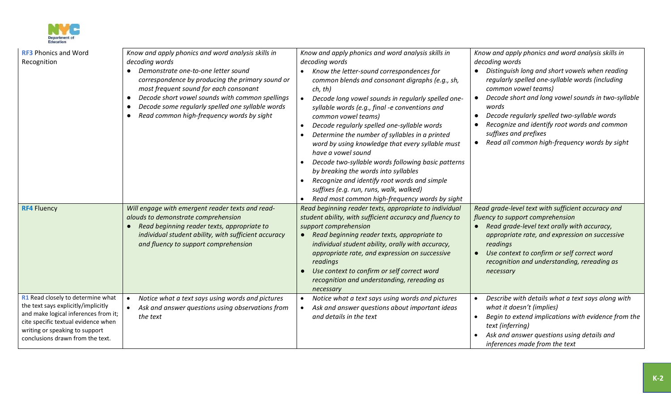

| <b>RF3 Phonics and Word</b><br>Recognition                                                                                                                                                                                    | Know and apply phonics and word analysis skills in<br>decoding words<br>Demonstrate one-to-one letter sound<br>correspondence by producing the primary sound or<br>most frequent sound for each consonant<br>Decode short vowel sounds with common spellings<br>$\bullet$<br>Decode some regularly spelled one syllable words<br>Read common high-frequency words by sight<br>$\bullet$ | Know and apply phonics and word analysis skills in<br>decoding words<br>Know the letter-sound correspondences for<br>common blends and consonant digraphs (e.g., sh,<br>ch, th)<br>Decode long vowel sounds in regularly spelled one-<br>syllable words (e.g., final -e conventions and<br>common vowel teams)<br>Decode regularly spelled one-syllable words<br>Determine the number of syllables in a printed<br>word by using knowledge that every syllable must<br>have a vowel sound<br>Decode two-syllable words following basic patterns<br>by breaking the words into syllables<br>Recognize and identify root words and simple<br>suffixes (e.g. run, runs, walk, walked)<br>Read most common high-frequency words by sight | Know and apply phonics and word analysis skills in<br>decoding words<br>Distinguish long and short vowels when reading<br>regularly spelled one-syllable words (including<br>common vowel teams)<br>Decode short and long vowel sounds in two-syllable<br>words<br>Decode regularly spelled two-syllable words<br>Recognize and identify root words and common<br>suffixes and prefixes<br>Read all common high-frequency words by sight |
|-------------------------------------------------------------------------------------------------------------------------------------------------------------------------------------------------------------------------------|-----------------------------------------------------------------------------------------------------------------------------------------------------------------------------------------------------------------------------------------------------------------------------------------------------------------------------------------------------------------------------------------|--------------------------------------------------------------------------------------------------------------------------------------------------------------------------------------------------------------------------------------------------------------------------------------------------------------------------------------------------------------------------------------------------------------------------------------------------------------------------------------------------------------------------------------------------------------------------------------------------------------------------------------------------------------------------------------------------------------------------------------|------------------------------------------------------------------------------------------------------------------------------------------------------------------------------------------------------------------------------------------------------------------------------------------------------------------------------------------------------------------------------------------------------------------------------------------|
| <b>RF4 Fluency</b>                                                                                                                                                                                                            | Will engage with emergent reader texts and read-<br>alouds to demonstrate comprehension<br>Read beginning reader texts, appropriate to<br>$\bullet$<br>individual student ability, with sufficient accuracy<br>and fluency to support comprehension                                                                                                                                     | Read beginning reader texts, appropriate to individual<br>student ability, with sufficient accuracy and fluency to<br>support comprehension<br>Read beginning reader texts, appropriate to<br>individual student ability, orally with accuracy,<br>appropriate rate, and expression on successive<br>readings<br>Use context to confirm or self correct word<br>recognition and understanding, rereading as<br>necessary                                                                                                                                                                                                                                                                                                             | Read grade-level text with sufficient accuracy and<br>fluency to support comprehension<br>Read grade-level text orally with accuracy,<br>appropriate rate, and expression on successive<br>readings<br>Use context to confirm or self correct word<br>recognition and understanding, rereading as<br>necessary                                                                                                                           |
| R1 Read closely to determine what<br>the text says explicitly/implicitly<br>and make logical inferences from it;<br>cite specific textual evidence when<br>writing or speaking to support<br>conclusions drawn from the text. | Notice what a text says using words and pictures<br>Ask and answer questions using observations from<br>the text                                                                                                                                                                                                                                                                        | Notice what a text says using words and pictures<br>Ask and answer questions about important ideas<br>and details in the text                                                                                                                                                                                                                                                                                                                                                                                                                                                                                                                                                                                                        | Describe with details what a text says along with<br>what it doesn't (implies)<br>Begin to extend implications with evidence from the<br>text (inferring)<br>Ask and answer questions using details and<br>inferences made from the text                                                                                                                                                                                                 |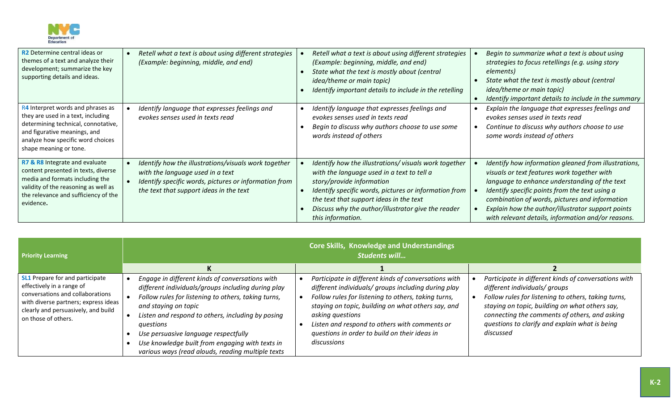

| <b>R2</b> Determine central ideas or<br>themes of a text and analyze their<br>development; summarize the key<br>supporting details and ideas.                                                                 | Retell what a text is about using different strategies<br>(Example: beginning, middle, and end)                                                                                              | Retell what a text is about using different strategies<br>(Example: beginning, middle, and end)<br>State what the text is mostly about (central<br><i>idea/theme or main topic)</i><br>Identify important details to include in the retelling                                                                  | Begin to summarize what a text is about using<br>strategies to focus retellings (e.g. using story<br>elements)<br>State what the text is mostly about (central<br><i>idea/theme or main topic)</i><br>Identify important details to include in the summary                                                                                                          |
|---------------------------------------------------------------------------------------------------------------------------------------------------------------------------------------------------------------|----------------------------------------------------------------------------------------------------------------------------------------------------------------------------------------------|----------------------------------------------------------------------------------------------------------------------------------------------------------------------------------------------------------------------------------------------------------------------------------------------------------------|---------------------------------------------------------------------------------------------------------------------------------------------------------------------------------------------------------------------------------------------------------------------------------------------------------------------------------------------------------------------|
| R4 Interpret words and phrases as<br>they are used in a text, including<br>determining technical, connotative,<br>and figurative meanings, and<br>analyze how specific word choices<br>shape meaning or tone. | Identify language that expresses feelings and<br>evokes senses used in texts read                                                                                                            | Identify language that expresses feelings and<br>evokes senses used in texts read<br>Begin to discuss why authors choose to use some<br>words instead of others                                                                                                                                                | Explain the language that expresses feelings and<br>evokes senses used in texts read<br>Continue to discuss why authors choose to use<br>some words instead of others                                                                                                                                                                                               |
| R7 & R8 Integrate and evaluate<br>content presented in texts, diverse<br>media and formats including the<br>validity of the reasoning as well as<br>the relevance and sufficiency of the<br>evidence.         | Identify how the illustrations/visuals work together<br>with the language used in a text<br>Identify specific words, pictures or information from<br>the text that support ideas in the text | Identify how the illustrations/visuals work together<br>with the language used in a text to tell a<br>story/provide information<br>Identify specific words, pictures or information from<br>the text that support ideas in the text<br>Discuss why the author/illustrator give the reader<br>this information. | Identify how information gleaned from illustrations,<br>visuals or text features work together with<br>language to enhance understanding of the text<br>Identify specific points from the text using a<br>combination of words, pictures and information<br>Explain how the author/illustrator support points<br>with relevant details, information and/or reasons. |

| <b>Priority Learning</b>                                                                                                                                                                                      | <b>Core Skills, Knowledge and Understandings</b><br><b>Students will</b>                                                                                                                                                                                                                                                                                                                               |                                                                                                                                                                                                                                                                                                                                                               |                                                                                                                                                                                                                                                                                                                |
|---------------------------------------------------------------------------------------------------------------------------------------------------------------------------------------------------------------|--------------------------------------------------------------------------------------------------------------------------------------------------------------------------------------------------------------------------------------------------------------------------------------------------------------------------------------------------------------------------------------------------------|---------------------------------------------------------------------------------------------------------------------------------------------------------------------------------------------------------------------------------------------------------------------------------------------------------------------------------------------------------------|----------------------------------------------------------------------------------------------------------------------------------------------------------------------------------------------------------------------------------------------------------------------------------------------------------------|
|                                                                                                                                                                                                               |                                                                                                                                                                                                                                                                                                                                                                                                        |                                                                                                                                                                                                                                                                                                                                                               |                                                                                                                                                                                                                                                                                                                |
| <b>SL1</b> Prepare for and participate<br>effectively in a range of<br>conversations and collaborations<br>with diverse partners; express ideas<br>clearly and persuasively, and build<br>on those of others. | Engage in different kinds of conversations with<br>different individuals/groups including during play<br>Follow rules for listening to others, taking turns,<br>and staying on topic<br>Listen and respond to others, including by posing<br>questions<br>Use persuasive language respectfully<br>Use knowledge built from engaging with texts in<br>various ways (read alouds, reading multiple texts | Participate in different kinds of conversations with<br>different individuals/ groups including during play<br>Follow rules for listening to others, taking turns,<br>staying on topic, building on what others say, and<br>asking questions<br>Listen and respond to others with comments or<br>questions in order to build on their ideas in<br>discussions | Participate in different kinds of conversations with<br>different individuals/ groups<br>Follow rules for listening to others, taking turns,<br>staying on topic, building on what others say,<br>connecting the comments of others, and asking<br>questions to clarify and explain what is being<br>discussed |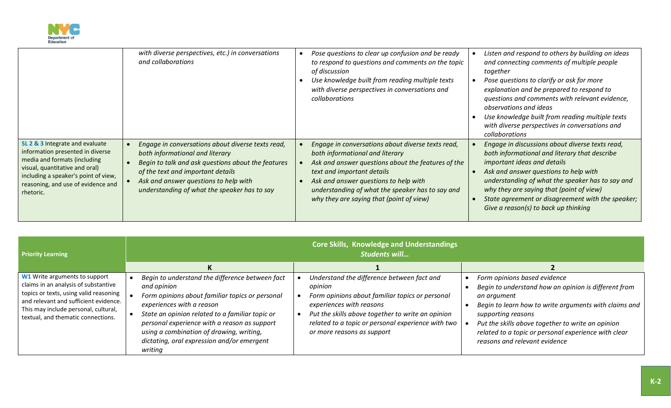

|                                                                                                                                                                                                                                  | with diverse perspectives, etc.) in conversations<br>and collaborations                                                                                                                                                                                                  | Pose questions to clear up confusion and be ready<br>to respond to questions and comments on the topic<br>of discussion<br>Use knowledge built from reading multiple texts<br>with diverse perspectives in conversations and<br>collaborations                                                                    | Listen and respond to others by building on ideas<br>and connecting comments of multiple people<br>together<br>Pose questions to clarify or ask for more<br>explanation and be prepared to respond to<br>questions and comments with relevant evidence,<br>observations and ideas<br>Use knowledge built from reading multiple texts<br>with diverse perspectives in conversations and  |
|----------------------------------------------------------------------------------------------------------------------------------------------------------------------------------------------------------------------------------|--------------------------------------------------------------------------------------------------------------------------------------------------------------------------------------------------------------------------------------------------------------------------|-------------------------------------------------------------------------------------------------------------------------------------------------------------------------------------------------------------------------------------------------------------------------------------------------------------------|-----------------------------------------------------------------------------------------------------------------------------------------------------------------------------------------------------------------------------------------------------------------------------------------------------------------------------------------------------------------------------------------|
| SL 2 & 3 Integrate and evaluate<br>information presented in diverse<br>media and formats (including<br>visual, quantitative and oral)<br>including a speaker's point of view,<br>reasoning, and use of evidence and<br>rhetoric. | Engage in conversations about diverse texts read,<br>both informational and literary<br>Begin to talk and ask questions about the features<br>of the text and important details<br>Ask and answer questions to help with<br>understanding of what the speaker has to say | Engage in conversations about diverse texts read,<br>both informational and literary<br>Ask and answer questions about the features of the<br>text and important details<br>Ask and answer questions to help with<br>understanding of what the speaker has to say and<br>why they are saying that (point of view) | collaborations<br>Engage in discussions about diverse texts read,<br>both informational and literary that describe<br>important ideas and details<br>Ask and answer questions to help with<br>understanding of what the speaker has to say and<br>why they are saying that (point of view)<br>State agreement or disagreement with the speaker;<br>Give a reason(s) to back up thinking |

| <b>Priority Learning</b>                                                                                                                                                                                                               | <b>Core Skills, Knowledge and Understandings</b><br><b>Students will</b>                                                                                                                                                                                                                                                                               |                                                                                                                                                                                                                                                                               |                                                                                                                                                                                                                                                                                                                                  |
|----------------------------------------------------------------------------------------------------------------------------------------------------------------------------------------------------------------------------------------|--------------------------------------------------------------------------------------------------------------------------------------------------------------------------------------------------------------------------------------------------------------------------------------------------------------------------------------------------------|-------------------------------------------------------------------------------------------------------------------------------------------------------------------------------------------------------------------------------------------------------------------------------|----------------------------------------------------------------------------------------------------------------------------------------------------------------------------------------------------------------------------------------------------------------------------------------------------------------------------------|
|                                                                                                                                                                                                                                        |                                                                                                                                                                                                                                                                                                                                                        |                                                                                                                                                                                                                                                                               |                                                                                                                                                                                                                                                                                                                                  |
| W1 Write arguments to support<br>claims in an analysis of substantive<br>topics or texts, using valid reasoning<br>and relevant and sufficient evidence.<br>This may include personal, cultural,<br>textual, and thematic connections. | Begin to understand the difference between fact<br>and opinion<br>Form opinions about familiar topics or personal<br>experiences with a reason<br>State an opinion related to a familiar topic or<br>personal experience with a reason as support<br>using a combination of drawing, writing,<br>dictating, oral expression and/or emergent<br>writing | Understand the difference between fact and<br>opinion<br>Form opinions about familiar topics or personal<br>experiences with reasons<br>Put the skills above together to write an opinion<br>related to a topic or personal experience with two<br>or more reasons as support | Form opinions based evidence<br>Begin to understand how an opinion is different from<br>an argument<br>Begin to learn how to write arguments with claims and<br>supporting reasons<br>Put the skills above together to write an opinion<br>related to a topic or personal experience with clear<br>reasons and relevant evidence |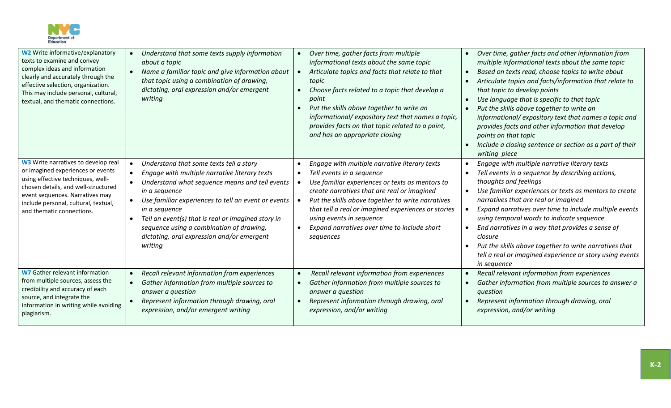

| <b>W2</b> Write informative/explanatory<br>texts to examine and convey<br>complex ideas and information<br>clearly and accurately through the<br>effective selection, organization.<br>This may include personal, cultural,<br>textual, and thematic connections. | Understand that some texts supply information<br>about a topic<br>Name a familiar topic and give information about<br>that topic using a combination of drawing,<br>dictating, oral expression and/or emergent<br>writing                                                                                                                                                                      | Over time, gather facts from multiple<br>informational texts about the same topic<br>Articulate topics and facts that relate to that<br>topic<br>Choose facts related to a topic that develop a<br>point<br>Put the skills above together to write an<br>informational/expository text that names a topic,<br>provides facts on that topic related to a point,<br>and has an appropriate closing | Over time, gather facts and other information from<br>multiple informational texts about the same topic<br>Based on texts read, choose topics to write about<br>Articulate topics and facts/information that relate to<br>that topic to develop points<br>Use language that is specific to that topic<br>Put the skills above together to write an<br>informational/expository text that names a topic and<br>provides facts and other information that develop<br>points on that topic<br>Include a closing sentence or section as a part of their<br>writing piece |
|-------------------------------------------------------------------------------------------------------------------------------------------------------------------------------------------------------------------------------------------------------------------|------------------------------------------------------------------------------------------------------------------------------------------------------------------------------------------------------------------------------------------------------------------------------------------------------------------------------------------------------------------------------------------------|--------------------------------------------------------------------------------------------------------------------------------------------------------------------------------------------------------------------------------------------------------------------------------------------------------------------------------------------------------------------------------------------------|----------------------------------------------------------------------------------------------------------------------------------------------------------------------------------------------------------------------------------------------------------------------------------------------------------------------------------------------------------------------------------------------------------------------------------------------------------------------------------------------------------------------------------------------------------------------|
| W3 Write narratives to develop real<br>or imagined experiences or events<br>using effective techniques, well-<br>chosen details, and well-structured<br>event sequences. Narratives may<br>include personal, cultural, textual,<br>and thematic connections.      | Understand that some texts tell a story<br>Engage with multiple narrative literary texts<br>Understand what sequence means and tell events<br>in a sequence<br>Use familiar experiences to tell an event or events<br>in a seguence<br>Tell an event(s) that is real or imagined story in<br>sequence using a combination of drawing,<br>dictating, oral expression and/or emergent<br>writing | Engage with multiple narrative literary texts<br>Tell events in a sequence<br>Use familiar experiences or texts as mentors to<br>create narratives that are real or imagined<br>Put the skills above together to write narratives<br>that tell a real or imagined experiences or stories<br>using events in sequence<br>Expand narratives over time to include short<br>sequences                | Engage with multiple narrative literary texts<br>Tell events in a sequence by describing actions,<br>thoughts and feelings<br>Use familiar experiences or texts as mentors to create<br>narratives that are real or imagined<br>Expand narratives over time to include multiple events<br>using temporal words to indicate sequence<br>End narratives in a way that provides a sense of<br>closure<br>Put the skills above together to write narratives that<br>tell a real or imagined experience or story using events<br>in sequence                              |
| <b>W7</b> Gather relevant information<br>from multiple sources, assess the<br>credibility and accuracy of each<br>source, and integrate the<br>information in writing while avoiding<br>plagiarism.                                                               | Recall relevant information from experiences<br>Gather information from multiple sources to<br>answer a question<br>Represent information through drawing, oral<br>expression, and/or emergent writing                                                                                                                                                                                         | Recall relevant information from experiences<br>Gather information from multiple sources to<br>answer a question<br>Represent information through drawing, oral<br>expression, and/or writing                                                                                                                                                                                                    | Recall relevant information from experiences<br>Gather information from multiple sources to answer a<br>question<br>Represent information through drawing, oral<br>expression, and/or writing                                                                                                                                                                                                                                                                                                                                                                        |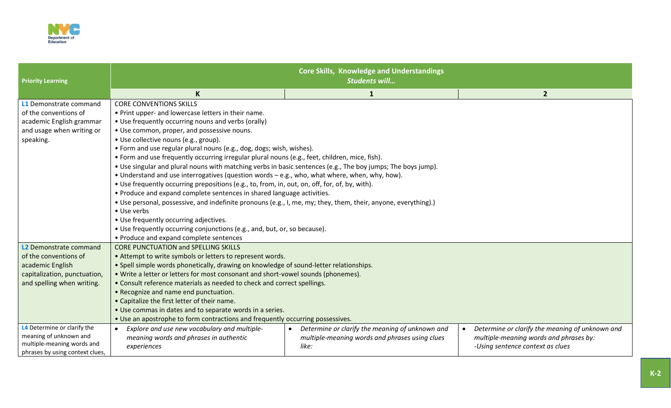

| <b>Priority Learning</b>                                                                                                          | <b>Core Skills, Knowledge and Understandings</b><br><b>Students will</b>                                                                                                                                                                                                                                                                                                                                                                                                                                                                                                                                                                                                                                                                                                                                                                                                                                                                                                               |                                                                                                                         |                                                                                                                                            |  |
|-----------------------------------------------------------------------------------------------------------------------------------|----------------------------------------------------------------------------------------------------------------------------------------------------------------------------------------------------------------------------------------------------------------------------------------------------------------------------------------------------------------------------------------------------------------------------------------------------------------------------------------------------------------------------------------------------------------------------------------------------------------------------------------------------------------------------------------------------------------------------------------------------------------------------------------------------------------------------------------------------------------------------------------------------------------------------------------------------------------------------------------|-------------------------------------------------------------------------------------------------------------------------|--------------------------------------------------------------------------------------------------------------------------------------------|--|
|                                                                                                                                   |                                                                                                                                                                                                                                                                                                                                                                                                                                                                                                                                                                                                                                                                                                                                                                                                                                                                                                                                                                                        | 1                                                                                                                       | $\overline{2}$                                                                                                                             |  |
| L1 Demonstrate command<br>of the conventions of<br>academic English grammar<br>and usage when writing or<br>speaking.             | <b>CORE CONVENTIONS SKILLS</b><br>• Print upper- and lowercase letters in their name.<br>• Use frequently occurring nouns and verbs (orally)<br>• Use common, proper, and possessive nouns.<br>• Use collective nouns (e.g., group).<br>• Form and use regular plural nouns (e.g., dog, dogs; wish, wishes).<br>• Form and use frequently occurring irregular plural nouns (e.g., feet, children, mice, fish).<br>. Use singular and plural nouns with matching verbs in basic sentences (e.g., The boy jumps; The boys jump).<br>. Understand and use interrogatives (question words - e.g., who, what where, when, why, how).<br>. Use frequently occurring prepositions (e.g., to, from, in, out, on, off, for, of, by, with).<br>• Produce and expand complete sentences in shared language activities.<br>• Use personal, possessive, and indefinite pronouns (e.g., I, me, my; they, them, their, anyone, everything).)<br>• Use verbs<br>• Use frequently occurring adjectives. |                                                                                                                         |                                                                                                                                            |  |
|                                                                                                                                   | • Produce and expand complete sentences                                                                                                                                                                                                                                                                                                                                                                                                                                                                                                                                                                                                                                                                                                                                                                                                                                                                                                                                                |                                                                                                                         |                                                                                                                                            |  |
| L2 Demonstrate command<br>of the conventions of<br>academic English<br>capitalization, punctuation,<br>and spelling when writing. | <b>CORE PUNCTUATION and SPELLING SKILLS</b><br>• Attempt to write symbols or letters to represent words.<br>• Spell simple words phonetically, drawing on knowledge of sound-letter relationships.<br>• Write a letter or letters for most consonant and short-vowel sounds (phonemes).<br>• Consult reference materials as needed to check and correct spellings.<br>• Recognize and name end punctuation.<br>• Capitalize the first letter of their name.<br>• Use commas in dates and to separate words in a series.<br>. Use an apostrophe to form contractions and frequently occurring possessives.                                                                                                                                                                                                                                                                                                                                                                              |                                                                                                                         |                                                                                                                                            |  |
| L4 Determine or clarify the<br>meaning of unknown and<br>multiple-meaning words and<br>phrases by using context clues,            | Explore and use new vocabulary and multiple-<br>$\bullet$<br>meaning words and phrases in authentic<br>experiences                                                                                                                                                                                                                                                                                                                                                                                                                                                                                                                                                                                                                                                                                                                                                                                                                                                                     | Determine or clarify the meaning of unknown and<br>$\bullet$<br>multiple-meaning words and phrases using clues<br>like: | Determine or clarify the meaning of unknown and<br>$\bullet$<br>multiple-meaning words and phrases by:<br>-Using sentence context as clues |  |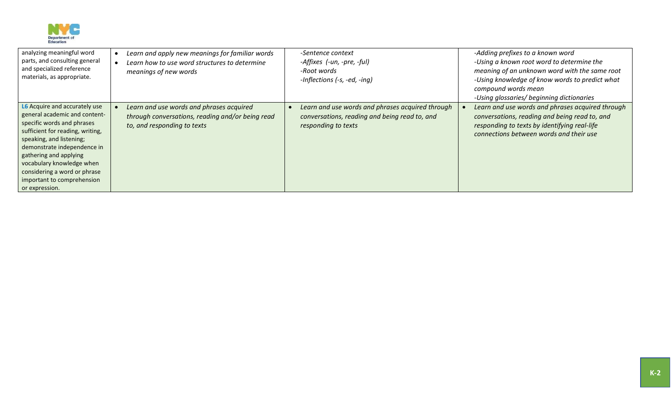

| analyzing meaningful word<br>parts, and consulting general<br>and specialized reference<br>materials, as appropriate.                                                                                                                                                                                                              | Learn and apply new meanings for familiar words<br>Learn how to use word structures to determine<br>meanings of new words   | -Sentence context<br>-Affixes (-un, -pre, -ful)<br>-Root words<br>-Inflections (-s, -ed, -ing)                           | -Adding prefixes to a known word<br>-Using a known root word to determine the<br>meaning of an unknown word with the same root<br>-Using knowledge of know words to predict what<br>compound words mean<br>-Using glossaries/ beginning dictionaries |
|------------------------------------------------------------------------------------------------------------------------------------------------------------------------------------------------------------------------------------------------------------------------------------------------------------------------------------|-----------------------------------------------------------------------------------------------------------------------------|--------------------------------------------------------------------------------------------------------------------------|------------------------------------------------------------------------------------------------------------------------------------------------------------------------------------------------------------------------------------------------------|
| L6 Acquire and accurately use<br>general academic and content-<br>specific words and phrases<br>sufficient for reading, writing,<br>speaking, and listening;<br>demonstrate independence in<br>gathering and applying<br>vocabulary knowledge when<br>considering a word or phrase<br>important to comprehension<br>or expression. | Learn and use words and phrases acquired<br>through conversations, reading and/or being read<br>to, and responding to texts | Learn and use words and phrases acquired through<br>conversations, reading and being read to, and<br>responding to texts | Learn and use words and phrases acquired through<br>conversations, reading and being read to, and<br>responding to texts by identifying real-life<br>connections between words and their use                                                         |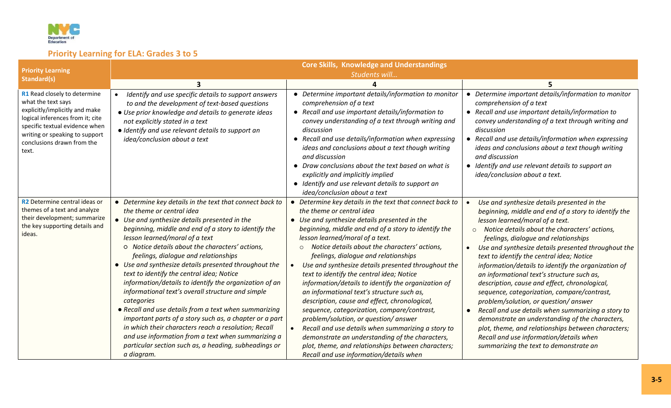

# **Priority Learning for ELA: Grades 3 to 5**

|                                                                                                                                                                                                                                     | <b>Core Skills, Knowledge and Understandings</b>                                                                                                                                                                                                                                                                                                                                                                                                                                                                                                                                                                                                                                                                                                                                                                                                                        |                                                                                                                                                                                                                                                                                                                                                                                                                                                                                                                                                                                                                                                                                                                                                                                                                                                                                                               |                                                                                                                                                                                                                                                                                                                                                                                                                                                                                                                                                                                                                                                                                                                                                                                                                                                                            |
|-------------------------------------------------------------------------------------------------------------------------------------------------------------------------------------------------------------------------------------|-------------------------------------------------------------------------------------------------------------------------------------------------------------------------------------------------------------------------------------------------------------------------------------------------------------------------------------------------------------------------------------------------------------------------------------------------------------------------------------------------------------------------------------------------------------------------------------------------------------------------------------------------------------------------------------------------------------------------------------------------------------------------------------------------------------------------------------------------------------------------|---------------------------------------------------------------------------------------------------------------------------------------------------------------------------------------------------------------------------------------------------------------------------------------------------------------------------------------------------------------------------------------------------------------------------------------------------------------------------------------------------------------------------------------------------------------------------------------------------------------------------------------------------------------------------------------------------------------------------------------------------------------------------------------------------------------------------------------------------------------------------------------------------------------|----------------------------------------------------------------------------------------------------------------------------------------------------------------------------------------------------------------------------------------------------------------------------------------------------------------------------------------------------------------------------------------------------------------------------------------------------------------------------------------------------------------------------------------------------------------------------------------------------------------------------------------------------------------------------------------------------------------------------------------------------------------------------------------------------------------------------------------------------------------------------|
| <b>Priority Learning</b>                                                                                                                                                                                                            |                                                                                                                                                                                                                                                                                                                                                                                                                                                                                                                                                                                                                                                                                                                                                                                                                                                                         | Students will                                                                                                                                                                                                                                                                                                                                                                                                                                                                                                                                                                                                                                                                                                                                                                                                                                                                                                 |                                                                                                                                                                                                                                                                                                                                                                                                                                                                                                                                                                                                                                                                                                                                                                                                                                                                            |
| Standard(s)                                                                                                                                                                                                                         |                                                                                                                                                                                                                                                                                                                                                                                                                                                                                                                                                                                                                                                                                                                                                                                                                                                                         |                                                                                                                                                                                                                                                                                                                                                                                                                                                                                                                                                                                                                                                                                                                                                                                                                                                                                                               |                                                                                                                                                                                                                                                                                                                                                                                                                                                                                                                                                                                                                                                                                                                                                                                                                                                                            |
| R1 Read closely to determine<br>what the text says<br>explicitly/implicitly and make<br>logical inferences from it; cite<br>specific textual evidence when<br>writing or speaking to support<br>conclusions drawn from the<br>text. | Identify and use specific details to support answers<br>to and the development of text-based questions<br>• Use prior knowledge and details to generate ideas<br>not explicitly stated in a text<br>· Identify and use relevant details to support an<br>idea/conclusion about a text                                                                                                                                                                                                                                                                                                                                                                                                                                                                                                                                                                                   | Determine important details/information to monitor<br>comprehension of a text<br>• Recall and use important details/information to<br>convey understanding of a text through writing and<br>discussion<br>• Recall and use details/information when expressing<br>ideas and conclusions about a text though writing<br>and discussion<br>• Draw conclusions about the text based on what is<br>explicitly and implicitly implied<br>• Identify and use relevant details to support an<br>idea/conclusion about a text                                                                                                                                                                                                                                                                                                                                                                                         | • Determine important details/information to monitor<br>comprehension of a text<br>• Recall and use important details/information to<br>convey understanding of a text through writing and<br>discussion<br>• Recall and use details/information when expressing<br>ideas and conclusions about a text though writing<br>and discussion<br>• Identify and use relevant details to support an<br>idea/conclusion about a text.                                                                                                                                                                                                                                                                                                                                                                                                                                              |
| R2 Determine central ideas or<br>themes of a text and analyze<br>their development; summarize<br>the key supporting details and<br>ideas.                                                                                           | • Determine key details in the text that connect back to<br>the theme or central idea<br>• Use and synthesize details presented in the<br>beginning, middle and end of a story to identify the<br>lesson learned/moral of a text<br>O Notice details about the characters' actions,<br>feelings, dialogue and relationships<br>• Use and synthesize details presented throughout the<br>text to identify the central idea; Notice<br>information/details to identify the organization of an<br>informational text's overall structure and simple<br>categories<br>• Recall and use details from a text when summarizing<br>important parts of a story such as, a chapter or a part<br>in which their characters reach a resolution; Recall<br>and use information from a text when summarizing a<br>particular section such as, a heading, subheadings or<br>a diagram. | • Determine key details in the text that connect back to<br>the theme or central idea<br>• Use and synthesize details presented in the<br>beginning, middle and end of a story to identify the<br>lesson learned/moral of a text.<br>Notice details about the characters' actions,<br>$\circ$<br>feelings, dialogue and relationships<br>Use and synthesize details presented throughout the<br>text to identify the central idea; Notice<br>information/details to identify the organization of<br>an informational text's structure such as,<br>description, cause and effect, chronological,<br>sequence, categorization, compare/contrast,<br>problem/solution, or question/answer<br>Recall and use details when summarizing a story to<br>$\bullet$<br>demonstrate an understanding of the characters,<br>plot, theme, and relationships between characters;<br>Recall and use information/details when | Use and synthesize details presented in the<br>beginning, middle and end of a story to identify the<br>lesson learned/moral of a text.<br>Notice details about the characters' actions,<br>$\circ$<br>feelings, dialogue and relationships<br>Use and synthesize details presented throughout the<br>$\bullet$<br>text to identify the central idea; Notice<br>information/details to identify the organization of<br>an informational text's structure such as,<br>description, cause and effect, chronological,<br>sequence, categorization, compare/contrast,<br>problem/solution, or question/ answer<br>Recall and use details when summarizing a story to<br>$\bullet$<br>demonstrate an understanding of the characters,<br>plot, theme, and relationships between characters;<br>Recall and use information/details when<br>summarizing the text to demonstrate an |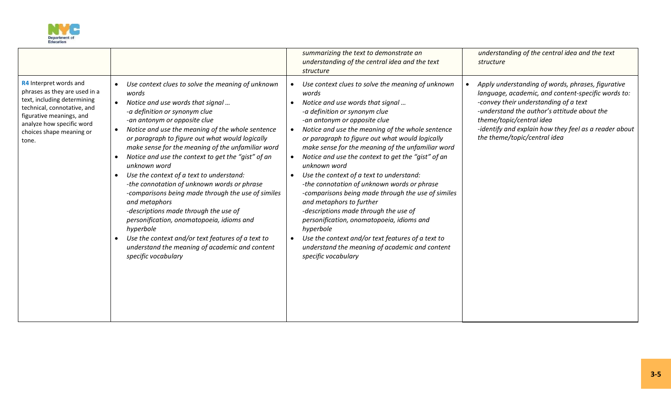

|                                                                                                                                                                                                                     |                                                                                                                                                                                                                                                                                                                                                                                                                                                                                                                                                                                                                                                                                                                                                                                                      | summarizing the text to demonstrate an<br>understanding of the central idea and the text<br>structure                                                                                                                                                                                                                                                                                                                                                                                                                                                                                                                                                                                                                                                                                                           | understanding of the central idea and the text<br>structure                                                                                                                                                                                                                                                          |
|---------------------------------------------------------------------------------------------------------------------------------------------------------------------------------------------------------------------|------------------------------------------------------------------------------------------------------------------------------------------------------------------------------------------------------------------------------------------------------------------------------------------------------------------------------------------------------------------------------------------------------------------------------------------------------------------------------------------------------------------------------------------------------------------------------------------------------------------------------------------------------------------------------------------------------------------------------------------------------------------------------------------------------|-----------------------------------------------------------------------------------------------------------------------------------------------------------------------------------------------------------------------------------------------------------------------------------------------------------------------------------------------------------------------------------------------------------------------------------------------------------------------------------------------------------------------------------------------------------------------------------------------------------------------------------------------------------------------------------------------------------------------------------------------------------------------------------------------------------------|----------------------------------------------------------------------------------------------------------------------------------------------------------------------------------------------------------------------------------------------------------------------------------------------------------------------|
| R4 Interpret words and<br>phrases as they are used in a<br>text, including determining<br>technical, connotative, and<br>figurative meanings, and<br>analyze how specific word<br>choices shape meaning or<br>tone. | Use context clues to solve the meaning of unknown<br>words<br>Notice and use words that signal<br>-a definition or synonym clue<br>-an antonym or opposite clue<br>Notice and use the meaning of the whole sentence<br>or paragraph to figure out what would logically<br>make sense for the meaning of the unfamiliar word<br>Notice and use the context to get the "gist" of an<br>unknown word<br>Use the context of a text to understand:<br>-the connotation of unknown words or phrase<br>-comparisons being made through the use of similes<br>and metaphors<br>-descriptions made through the use of<br>personification, onomatopoeia, idioms and<br>hyperbole<br>Use the context and/or text features of a text to<br>understand the meaning of academic and content<br>specific vocabulary | Use context clues to solve the meaning of unknown<br>words<br>Notice and use words that signal<br>-a definition or synonym clue<br>-an antonym or opposite clue<br>Notice and use the meaning of the whole sentence<br>or paragraph to figure out what would logically<br>make sense for the meaning of the unfamiliar word<br>Notice and use the context to get the "gist" of an<br>unknown word<br>Use the context of a text to understand:<br>-the connotation of unknown words or phrase<br>-comparisons being made through the use of similes<br>and metaphors to further<br>-descriptions made through the use of<br>personification, onomatopoeia, idioms and<br>hyperbole<br>Use the context and/or text features of a text to<br>understand the meaning of academic and content<br>specific vocabulary | Apply understanding of words, phrases, figurative<br>language, academic, and content-specific words to:<br>-convey their understanding of a text<br>-understand the author's attitude about the<br>theme/topic/central idea<br>-identify and explain how they feel as a reader about<br>the theme/topic/central idea |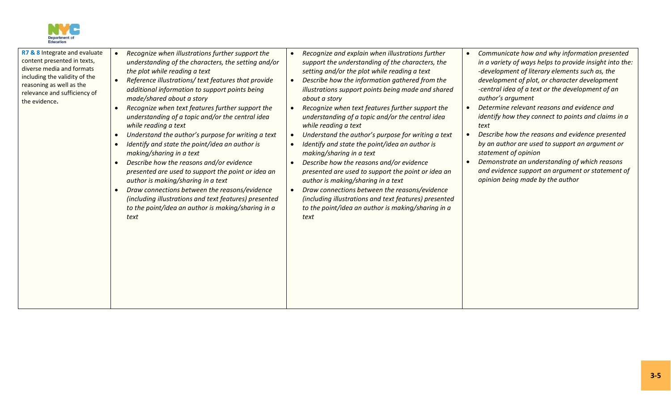

| R7 & 8 Integrate and evaluate<br>content presented in texts,<br>diverse media and formats<br>including the validity of the<br>reasoning as well as the<br>relevance and sufficiency of<br>the evidence. | Recognize when illustrations further support the<br>understanding of the characters, the setting and/or<br>the plot while reading a text<br>Reference illustrations/ text features that provide<br>additional information to support points being<br>made/shared about a story<br>Recognize when text features further support the<br>understanding of a topic and/or the central idea<br>while reading a text<br>Understand the author's purpose for writing a text<br>Identify and state the point/idea an author is<br>making/sharing in a text<br>Describe how the reasons and/or evidence<br>presented are used to support the point or idea an<br>author is making/sharing in a text<br>Draw connections between the reasons/evidence<br>(including illustrations and text features) presented<br>to the point/idea an author is making/sharing in a<br>text | Recognize and explain when illustrations further<br>support the understanding of the characters, the<br>setting and/or the plot while reading a text<br>Describe how the information gathered from the<br>illustrations support points being made and shared<br>about a story<br>Recognize when text features further support the<br>understanding of a topic and/or the central idea<br>while reading a text<br>Understand the author's purpose for writing a text<br>Identify and state the point/idea an author is<br>making/sharing in a text<br>Describe how the reasons and/or evidence<br>presented are used to support the point or idea an<br>author is making/sharing in a text<br>Draw connections between the reasons/evidence<br>(including illustrations and text features) presented<br>to the point/idea an author is making/sharing in a<br>text | Communicate how and why information presented<br>$\bullet$<br>in a variety of ways helps to provide insight into the:<br>-development of literary elements such as, the<br>development of plot, or character development<br>-central idea of a text or the development of an<br>author's argument<br>Determine relevant reasons and evidence and<br>$\bullet$<br>identify how they connect to points and claims in a<br>text<br>Describe how the reasons and evidence presented<br>$\bullet$<br>by an author are used to support an argument or<br>statement of opinion<br>Demonstrate an understanding of which reasons<br>$\bullet$<br>and evidence support an argument or statement of<br>opinion being made by the author |
|---------------------------------------------------------------------------------------------------------------------------------------------------------------------------------------------------------|--------------------------------------------------------------------------------------------------------------------------------------------------------------------------------------------------------------------------------------------------------------------------------------------------------------------------------------------------------------------------------------------------------------------------------------------------------------------------------------------------------------------------------------------------------------------------------------------------------------------------------------------------------------------------------------------------------------------------------------------------------------------------------------------------------------------------------------------------------------------|-------------------------------------------------------------------------------------------------------------------------------------------------------------------------------------------------------------------------------------------------------------------------------------------------------------------------------------------------------------------------------------------------------------------------------------------------------------------------------------------------------------------------------------------------------------------------------------------------------------------------------------------------------------------------------------------------------------------------------------------------------------------------------------------------------------------------------------------------------------------|-------------------------------------------------------------------------------------------------------------------------------------------------------------------------------------------------------------------------------------------------------------------------------------------------------------------------------------------------------------------------------------------------------------------------------------------------------------------------------------------------------------------------------------------------------------------------------------------------------------------------------------------------------------------------------------------------------------------------------|
|---------------------------------------------------------------------------------------------------------------------------------------------------------------------------------------------------------|--------------------------------------------------------------------------------------------------------------------------------------------------------------------------------------------------------------------------------------------------------------------------------------------------------------------------------------------------------------------------------------------------------------------------------------------------------------------------------------------------------------------------------------------------------------------------------------------------------------------------------------------------------------------------------------------------------------------------------------------------------------------------------------------------------------------------------------------------------------------|-------------------------------------------------------------------------------------------------------------------------------------------------------------------------------------------------------------------------------------------------------------------------------------------------------------------------------------------------------------------------------------------------------------------------------------------------------------------------------------------------------------------------------------------------------------------------------------------------------------------------------------------------------------------------------------------------------------------------------------------------------------------------------------------------------------------------------------------------------------------|-------------------------------------------------------------------------------------------------------------------------------------------------------------------------------------------------------------------------------------------------------------------------------------------------------------------------------------------------------------------------------------------------------------------------------------------------------------------------------------------------------------------------------------------------------------------------------------------------------------------------------------------------------------------------------------------------------------------------------|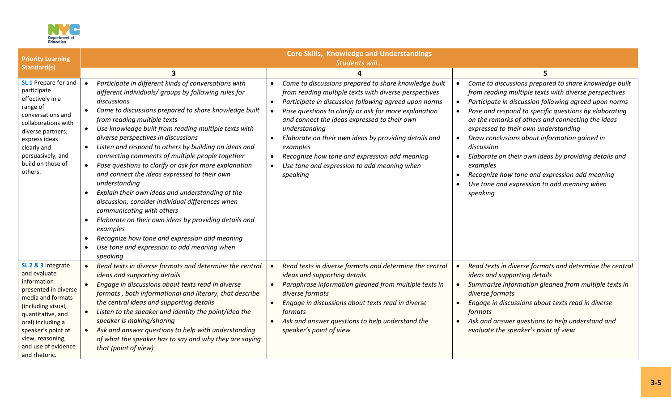

| <b>Priority Learning</b>                                                                                                                                                                                                                         | <b>Core Skills, Knowledge and Understandings</b><br>Students will                                                                                                                                                                                                                                                                                                                                                                                                                                                                                                                                                                                                                                                                                                                                                                                                                                                                                            |                                                                                                                                                                                                                                                                                                                                                                                                                                                                                                                                        |                                                                                                                                                                                                                                                                                                                                                                                                                                                                                                                                                                                           |  |  |  |
|--------------------------------------------------------------------------------------------------------------------------------------------------------------------------------------------------------------------------------------------------|--------------------------------------------------------------------------------------------------------------------------------------------------------------------------------------------------------------------------------------------------------------------------------------------------------------------------------------------------------------------------------------------------------------------------------------------------------------------------------------------------------------------------------------------------------------------------------------------------------------------------------------------------------------------------------------------------------------------------------------------------------------------------------------------------------------------------------------------------------------------------------------------------------------------------------------------------------------|----------------------------------------------------------------------------------------------------------------------------------------------------------------------------------------------------------------------------------------------------------------------------------------------------------------------------------------------------------------------------------------------------------------------------------------------------------------------------------------------------------------------------------------|-------------------------------------------------------------------------------------------------------------------------------------------------------------------------------------------------------------------------------------------------------------------------------------------------------------------------------------------------------------------------------------------------------------------------------------------------------------------------------------------------------------------------------------------------------------------------------------------|--|--|--|
| Standard(s)                                                                                                                                                                                                                                      | 3                                                                                                                                                                                                                                                                                                                                                                                                                                                                                                                                                                                                                                                                                                                                                                                                                                                                                                                                                            | $\boldsymbol{\Lambda}$                                                                                                                                                                                                                                                                                                                                                                                                                                                                                                                 | 5                                                                                                                                                                                                                                                                                                                                                                                                                                                                                                                                                                                         |  |  |  |
| SL 1 Prepare for and<br>participate<br>effectively in a<br>range of<br>conversations and<br>collaborations with<br>diverse partners;<br>express ideas<br>clearly and<br>persuasively, and<br>build on those of<br>others.                        | Participate in different kinds of conversations with<br>$\bullet$<br>different individuals/ groups by following rules for<br>discussions<br>Come to discussions prepared to share knowledge built<br>$\bullet$<br>from reading multiple texts<br>Use knowledge built from reading multiple texts with<br>$\bullet$<br>diverse perspectives in discussions<br>Listen and respond to others by building on ideas and<br>$\bullet$<br>connecting comments of multiple people together<br>Pose questions to clarify or ask for more explanation<br>$\bullet$<br>and connect the ideas expressed to their own<br>understanding<br>Explain their own ideas and understanding of the<br>$\bullet$<br>discussion; consider individual differences when<br>communicating with others<br>Elaborate on their own ideas by providing details and<br>examples<br>Recognize how tone and expression add meaning<br>Use tone and expression to add meaning when<br>speaking | Come to discussions prepared to share knowledge built<br>from reading multiple texts with diverse perspectives<br>Participate in discussion following agreed upon norms<br>$\bullet$<br>Pose questions to clarify or ask for more explanation<br>and connect the ideas expressed to their own<br>understanding<br>Elaborate on their own ideas by providing details and<br>$\bullet$<br>examples<br>Recognize how tone and expression add meaning<br>$\bullet$<br>Use tone and expression to add meaning when<br>$\bullet$<br>speaking | Come to discussions prepared to share knowledge built<br>$\bullet$<br>from reading multiple texts with diverse perspectives<br>Participate in discussion following agreed upon norms<br>Pose and respond to specific questions by elaborating<br>on the remarks of others and connecting the ideas<br>expressed to their own understanding<br>Draw conclusions about information gained in<br>discussion<br>Elaborate on their own ideas by providing details and<br>examples<br>Recognize how tone and expression add meaning<br>Use tone and expression to add meaning when<br>speaking |  |  |  |
| SL 2 & 3 Integrate<br>and evaluate<br>information<br>presented in diverse<br>media and formats<br>(including visual,<br>quantitative, and<br>oral) including a<br>speaker's point of<br>view, reasoning,<br>and use of evidence<br>and rhetoric. | Read texts in diverse formats and determine the central<br>$\bullet$<br>ideas and supporting details<br>Engage in discussions about texts read in diverse<br>$\bullet$<br>formats, both informational and literary, that describe<br>the central ideas and supporting details<br>Listen to the speaker and identity the point/idea the<br>$\bullet$<br>speaker is making/sharing<br>Ask and answer questions to help with understanding<br>$\bullet$<br>of what the speaker has to say and why they are saying<br>that (point of view)                                                                                                                                                                                                                                                                                                                                                                                                                       | Read texts in diverse formats and determine the central<br>ideas and supporting details<br>Paraphrase information gleaned from multiple texts in<br>$\bullet$<br>diverse formats<br>Engage in discussions about texts read in diverse<br>formats<br>Ask and answer questions to help understand the<br>$\bullet$<br>speaker's point of view                                                                                                                                                                                            | Read texts in diverse formats and determine the central<br>ideas and supporting details<br>Summarize information gleaned from multiple texts in<br>diverse formats<br>Engage in discussions about texts read in diverse<br>formats<br>Ask and answer questions to help understand and<br>evaluate the speaker's point of view                                                                                                                                                                                                                                                             |  |  |  |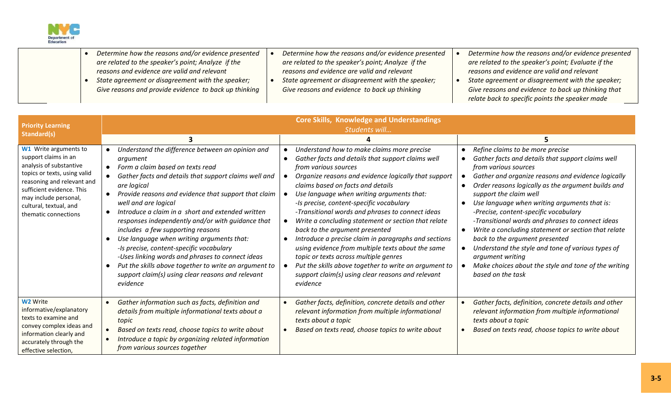

|  | Determine how the reasons and/or evidence presented   | Determine how the reasons and/or evidence presented | Determine how the reasons and/or evidence presented |
|--|-------------------------------------------------------|-----------------------------------------------------|-----------------------------------------------------|
|  | are related to the speaker's point; Analyze if the    | are related to the speaker's point; Analyze if the  | are related to the speaker's point; Evaluate if the |
|  | reasons and evidence are valid and relevant           | reasons and evidence are valid and relevant         | reasons and evidence are valid and relevant         |
|  | State agreement or disagreement with the speaker;     | State agreement or disagreement with the speaker;   | State agreement or disagreement with the speaker;   |
|  | Give reasons and provide evidence to back up thinking | Give reasons and evidence to back up thinking       | Give reasons and evidence to back up thinking that  |
|  |                                                       |                                                     | relate back to specific points the speaker made     |

|                                                                                                                                                                                                                                                | <b>Core Skills, Knowledge and Understandings</b>                                                                                                                                                                                                                                                                                                                                                                                                                                                                                                                                                                                                                               |                                                                                                                                                                                                                                                                                                                                                                                                                                                                                                                                                                                                                                                                                                                                                                      |                                                                                                                                                                                                                                                                                                                                                                                                                                                                                                                                                                                                                                                              |  |  |  |  |
|------------------------------------------------------------------------------------------------------------------------------------------------------------------------------------------------------------------------------------------------|--------------------------------------------------------------------------------------------------------------------------------------------------------------------------------------------------------------------------------------------------------------------------------------------------------------------------------------------------------------------------------------------------------------------------------------------------------------------------------------------------------------------------------------------------------------------------------------------------------------------------------------------------------------------------------|----------------------------------------------------------------------------------------------------------------------------------------------------------------------------------------------------------------------------------------------------------------------------------------------------------------------------------------------------------------------------------------------------------------------------------------------------------------------------------------------------------------------------------------------------------------------------------------------------------------------------------------------------------------------------------------------------------------------------------------------------------------------|--------------------------------------------------------------------------------------------------------------------------------------------------------------------------------------------------------------------------------------------------------------------------------------------------------------------------------------------------------------------------------------------------------------------------------------------------------------------------------------------------------------------------------------------------------------------------------------------------------------------------------------------------------------|--|--|--|--|
| <b>Priority Learning</b><br>Standard(s)                                                                                                                                                                                                        | Students will                                                                                                                                                                                                                                                                                                                                                                                                                                                                                                                                                                                                                                                                  |                                                                                                                                                                                                                                                                                                                                                                                                                                                                                                                                                                                                                                                                                                                                                                      |                                                                                                                                                                                                                                                                                                                                                                                                                                                                                                                                                                                                                                                              |  |  |  |  |
|                                                                                                                                                                                                                                                |                                                                                                                                                                                                                                                                                                                                                                                                                                                                                                                                                                                                                                                                                |                                                                                                                                                                                                                                                                                                                                                                                                                                                                                                                                                                                                                                                                                                                                                                      |                                                                                                                                                                                                                                                                                                                                                                                                                                                                                                                                                                                                                                                              |  |  |  |  |
| W1 Write arguments to<br>support claims in an<br>analysis of substantive<br>topics or texts, using valid<br>reasoning and relevant and<br>sufficient evidence. This<br>may include personal,<br>cultural, textual, and<br>thematic connections | Understand the difference between an opinion and<br>argument<br>Form a claim based on texts read<br>Gather facts and details that support claims well and<br>are logical<br>Provide reasons and evidence that support that claim<br>well and are logical<br>Introduce a claim in a short and extended written<br>responses independently and/or with guidance that<br>includes a few supporting reasons<br>Use language when writing arguments that:<br>-Is precise, content-specific vocabulary<br>-Uses linking words and phrases to connect ideas<br>Put the skills above together to write an argument to<br>support claim(s) using clear reasons and relevant<br>evidence | Understand how to make claims more precise<br>Gather facts and details that support claims well<br>from various sources<br>Organize reasons and evidence logically that support<br>claims based on facts and details<br>Use language when writing arguments that:<br>-Is precise, content-specific vocabulary<br>-Transitional words and phrases to connect ideas<br>Write a concluding statement or section that relate<br>$\bullet$<br>back to the argument presented<br>Introduce a precise claim in paragraphs and sections<br>using evidence from multiple texts about the same<br>topic or texts across multiple genres<br>Put the skills above together to write an argument to<br>$\bullet$<br>support claim(s) using clear reasons and relevant<br>evidence | Refine claims to be more precise<br>Gather facts and details that support claims well<br>from various sources<br>Gather and organize reasons and evidence logically<br>Order reasons logically as the argument builds and<br>support the claim well<br>Use language when writing arguments that is:<br>-Precise, content-specific vocabulary<br>-Transitional words and phrases to connect ideas<br>Write a concluding statement or section that relate<br>$\bullet$<br>back to the argument presented<br>Understand the style and tone of various types of<br>argument writing<br>Make choices about the style and tone of the writing<br>based on the task |  |  |  |  |
| <b>W2</b> Write<br>informative/explanatory<br>texts to examine and<br>convey complex ideas and<br>information clearly and<br>accurately through the<br>effective selection,                                                                    | Gather information such as facts, definition and<br>details from multiple informational texts about a<br>topic<br>Based on texts read, choose topics to write about<br>Introduce a topic by organizing related information<br>from various sources together                                                                                                                                                                                                                                                                                                                                                                                                                    | Gather facts, definition, concrete details and other<br>$\bullet$<br>relevant information from multiple informational<br>texts about a topic<br>Based on texts read, choose topics to write about<br>$\bullet$                                                                                                                                                                                                                                                                                                                                                                                                                                                                                                                                                       | Gather facts, definition, concrete details and other<br>relevant information from multiple informational<br>texts about a topic<br>Based on texts read, choose topics to write about                                                                                                                                                                                                                                                                                                                                                                                                                                                                         |  |  |  |  |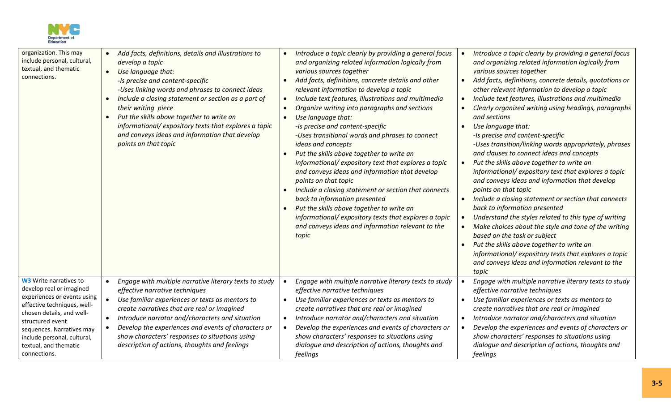

| organization. This may<br>include personal, cultural,<br>textual, and thematic<br>connections.                                                                                                                                                                                | Add facts, definitions, details and illustrations to<br>$\bullet$<br>develop a topic<br>Use language that:<br>$\bullet$<br>-Is precise and content-specific<br>-Uses linking words and phrases to connect ideas<br>Include a closing statement or section as a part of<br>$\bullet$<br>their writing piece<br>Put the skills above together to write an<br>$\bullet$<br>informational/expository texts that explores a topic<br>and conveys ideas and information that develop<br>points on that topic | Introduce a topic clearly by providing a general focus<br>$\bullet$<br>and organizing related information logically from<br>various sources together<br>Add facts, definitions, concrete details and other<br>$\bullet$<br>relevant information to develop a topic<br>Include text features, illustrations and multimedia<br>$\bullet$<br>Organize writing into paragraphs and sections<br>$\bullet$<br>Use language that:<br>$\bullet$<br>-Is precise and content-specific<br>-Uses transitional words and phrases to connect<br>ideas and concepts<br>Put the skills above together to write an<br>informational/expository text that explores a topic<br>and conveys ideas and information that develop<br>points on that topic<br>Include a closing statement or section that connects<br>back to information presented<br>Put the skills above together to write an<br>informational/expository texts that explores a topic<br>and conveys ideas and information relevant to the<br>topic | Introduce a topic clearly by providing a general focus<br>and organizing related information logically from<br>various sources together<br>Add facts, definitions, concrete details, quotations or<br>other relevant information to develop a topic<br>Include text features, illustrations and multimedia<br>Clearly organized writing using headings, paragraphs<br>and sections<br>Use language that:<br>-Is precise and content-specific<br>-Uses transition/linking words appropriately, phrases<br>and clauses to connect ideas and concepts<br>Put the skills above together to write an<br>informational/expository text that explores a topic<br>and conveys ideas and information that develop<br>points on that topic<br>Include a closing statement or section that connects<br>back to information presented<br>Understand the styles related to this type of writing<br>Make choices about the style and tone of the writing<br>based on the task or subject<br>Put the skills above together to write an<br>informational/expository texts that explores a topic<br>and conveys ideas and information relevant to the<br>topic |
|-------------------------------------------------------------------------------------------------------------------------------------------------------------------------------------------------------------------------------------------------------------------------------|--------------------------------------------------------------------------------------------------------------------------------------------------------------------------------------------------------------------------------------------------------------------------------------------------------------------------------------------------------------------------------------------------------------------------------------------------------------------------------------------------------|------------------------------------------------------------------------------------------------------------------------------------------------------------------------------------------------------------------------------------------------------------------------------------------------------------------------------------------------------------------------------------------------------------------------------------------------------------------------------------------------------------------------------------------------------------------------------------------------------------------------------------------------------------------------------------------------------------------------------------------------------------------------------------------------------------------------------------------------------------------------------------------------------------------------------------------------------------------------------------------------|-----------------------------------------------------------------------------------------------------------------------------------------------------------------------------------------------------------------------------------------------------------------------------------------------------------------------------------------------------------------------------------------------------------------------------------------------------------------------------------------------------------------------------------------------------------------------------------------------------------------------------------------------------------------------------------------------------------------------------------------------------------------------------------------------------------------------------------------------------------------------------------------------------------------------------------------------------------------------------------------------------------------------------------------------------------------------------------------------------------------------------------------------|
| <b>W3</b> Write narratives to<br>develop real or imagined<br>experiences or events using<br>effective techniques, well-<br>chosen details, and well-<br>structured event<br>sequences. Narratives may<br>include personal, cultural,<br>textual, and thematic<br>connections. | Engage with multiple narrative literary texts to study<br>$\bullet$<br>effective narrative techniques<br>Use familiar experiences or texts as mentors to<br>$\bullet$<br>create narratives that are real or imagined<br>Introduce narrator and/characters and situation<br>$\bullet$<br>Develop the experiences and events of characters or<br>show characters' responses to situations using<br>description of actions, thoughts and feelings                                                         | Engage with multiple narrative literary texts to study<br>$\bullet$<br>effective narrative techniques<br>Use familiar experiences or texts as mentors to<br>$\bullet$<br>create narratives that are real or imagined<br>Introduce narrator and/characters and situation<br>$\bullet$<br>Develop the experiences and events of characters or<br>$\bullet$<br>show characters' responses to situations using<br>dialogue and description of actions, thoughts and<br>feelings                                                                                                                                                                                                                                                                                                                                                                                                                                                                                                                    | Engage with multiple narrative literary texts to study<br>effective narrative techniques<br>Use familiar experiences or texts as mentors to<br>create narratives that are real or imagined<br>Introduce narrator and/characters and situation<br>Develop the experiences and events of characters or<br>show characters' responses to situations using<br>dialogue and description of actions, thoughts and<br>feelings                                                                                                                                                                                                                                                                                                                                                                                                                                                                                                                                                                                                                                                                                                                       |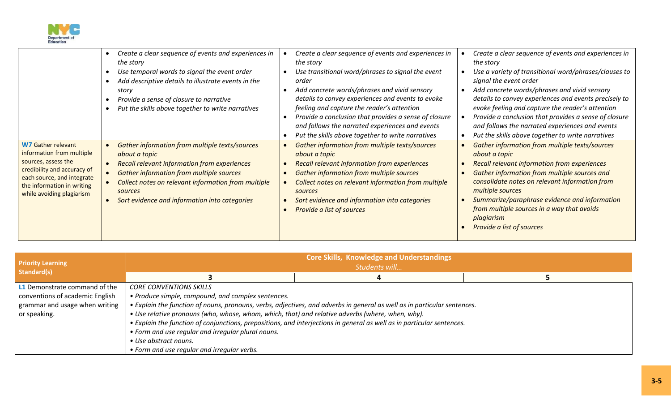

| <b>W7 Gather relevant</b>                                                                                                                                                | Create a clear sequence of events and experiences in<br>$\bullet$<br>the story<br>Use temporal words to signal the event order<br>Add descriptive details to illustrate events in the<br>story<br>Provide a sense of closure to narrative<br>Put the skills above together to write narratives<br><b>Gather information from multiple texts/sources</b> | Create a clear sequence of events and experiences in<br>the story<br>Use transitional word/phrases to signal the event<br>order<br>Add concrete words/phrases and vivid sensory<br>details to convey experiences and events to evoke<br>feeling and capture the reader's attention<br>Provide a conclusion that provides a sense of closure<br>and follows the narrated experiences and events<br>Put the skills above together to write narratives<br>Gather information from multiple texts/sources | Create a clear sequence of events and experiences in<br>the story<br>Use a variety of transitional word/phrases/clauses to<br>signal the event order<br>Add concrete words/phrases and vivid sensory<br>details to convey experiences and events precisely to<br>evoke feeling and capture the reader's attention<br>Provide a conclusion that provides a sense of closure<br>and follows the narrated experiences and events<br>Put the skills above together to write narratives<br>Gather information from multiple texts/sources |
|--------------------------------------------------------------------------------------------------------------------------------------------------------------------------|---------------------------------------------------------------------------------------------------------------------------------------------------------------------------------------------------------------------------------------------------------------------------------------------------------------------------------------------------------|-------------------------------------------------------------------------------------------------------------------------------------------------------------------------------------------------------------------------------------------------------------------------------------------------------------------------------------------------------------------------------------------------------------------------------------------------------------------------------------------------------|--------------------------------------------------------------------------------------------------------------------------------------------------------------------------------------------------------------------------------------------------------------------------------------------------------------------------------------------------------------------------------------------------------------------------------------------------------------------------------------------------------------------------------------|
| information from multiple<br>sources, assess the<br>credibility and accuracy of<br>each source, and integrate<br>the information in writing<br>while avoiding plagiarism | about a topic<br><b>Recall relevant information from experiences</b><br><b>Gather information from multiple sources</b><br>Collect notes on relevant information from multiple<br>sources<br>Sort evidence and information into categories<br>$\bullet$                                                                                                 | about a topic<br><b>Recall relevant information from experiences</b><br><b>Gather information from multiple sources</b><br>Collect notes on relevant information from multiple<br>sources<br>Sort evidence and information into categories<br>Provide a list of sources                                                                                                                                                                                                                               | about a topic<br><b>Recall relevant information from experiences</b><br>Gather information from multiple sources and<br>consolidate notes on relevant information from<br>multiple sources<br>Summarize/paraphrase evidence and information<br>from multiple sources in a way that avoids<br>plagiarism<br>Provide a list of sources                                                                                                                                                                                                 |

| <b>Priority Learning</b><br>Standard(s)                                                                            | <b>Core Skills, Knowledge and Understandings</b><br>Students will                                                                                                                                                                                                                                                      |                                                                                                                                                                                                                                                    |  |  |  |  |
|--------------------------------------------------------------------------------------------------------------------|------------------------------------------------------------------------------------------------------------------------------------------------------------------------------------------------------------------------------------------------------------------------------------------------------------------------|----------------------------------------------------------------------------------------------------------------------------------------------------------------------------------------------------------------------------------------------------|--|--|--|--|
|                                                                                                                    |                                                                                                                                                                                                                                                                                                                        |                                                                                                                                                                                                                                                    |  |  |  |  |
| L1 Demonstrate command of the<br>conventions of academic English<br>grammar and usage when writing<br>or speaking. | <b>CORE CONVENTIONS SKILLS</b><br>• Produce simple, compound, and complex sentences.<br>• Use relative pronouns (who, whose, whom, which, that) and relative adverbs (where, when, why).<br>• Form and use regular and irregular plural nouns.<br>• Use abstract nouns.<br>• Form and use regular and irregular verbs. | • Explain the function of nouns, pronouns, verbs, adjectives, and adverbs in general as well as in particular sentences.<br>• Explain the function of conjunctions, prepositions, and interjections in general as well as in particular sentences. |  |  |  |  |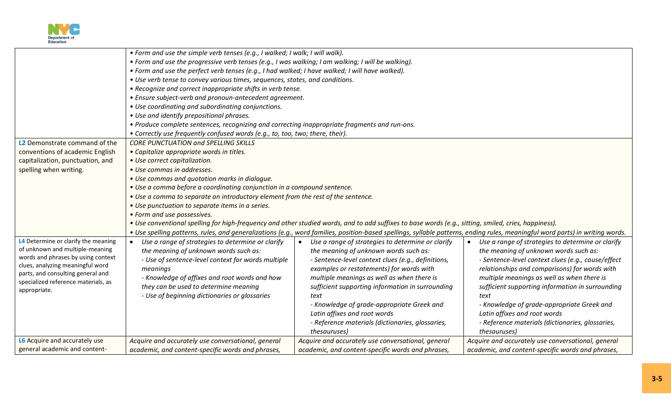

|                                     | • Form and use the simple verb tenses (e.g., I walked; I walk; I will walk).                       |                                                                                                                                                                               |                                                    |  |  |  |  |
|-------------------------------------|----------------------------------------------------------------------------------------------------|-------------------------------------------------------------------------------------------------------------------------------------------------------------------------------|----------------------------------------------------|--|--|--|--|
|                                     | • Form and use the progressive verb tenses (e.g., I was walking; I am walking; I will be walking). |                                                                                                                                                                               |                                                    |  |  |  |  |
|                                     | • Form and use the perfect verb tenses (e.g., I had walked; I have walked; I will have walked).    |                                                                                                                                                                               |                                                    |  |  |  |  |
|                                     | • Use verb tense to convey various times, sequences, states, and conditions.                       |                                                                                                                                                                               |                                                    |  |  |  |  |
|                                     | • Recognize and correct inappropriate shifts in verb tense.                                        |                                                                                                                                                                               |                                                    |  |  |  |  |
|                                     | • Ensure subject-verb and pronoun-antecedent agreement.                                            |                                                                                                                                                                               |                                                    |  |  |  |  |
|                                     | • Use coordinating and subordinating conjunctions.                                                 |                                                                                                                                                                               |                                                    |  |  |  |  |
|                                     | • Use and identify prepositional phrases.                                                          |                                                                                                                                                                               |                                                    |  |  |  |  |
|                                     | . Produce complete sentences, recognizing and correcting inappropriate fragments and run-ons.      |                                                                                                                                                                               |                                                    |  |  |  |  |
|                                     | • Correctly use frequently confused words (e.g., to, too, two; there, their).                      |                                                                                                                                                                               |                                                    |  |  |  |  |
| L2 Demonstrate command of the       | CORE PUNCTUATION and SPELLING SKILLS                                                               |                                                                                                                                                                               |                                                    |  |  |  |  |
| conventions of academic English     | • Capitalize appropriate words in titles.                                                          |                                                                                                                                                                               |                                                    |  |  |  |  |
| capitalization, punctuation, and    | • Use correct capitalization.                                                                      |                                                                                                                                                                               |                                                    |  |  |  |  |
| spelling when writing.              | • Use commas in addresses.                                                                         |                                                                                                                                                                               |                                                    |  |  |  |  |
|                                     | • Use commas and quotation marks in dialogue.                                                      |                                                                                                                                                                               |                                                    |  |  |  |  |
|                                     | • Use a comma before a coordinating conjunction in a compound sentence.                            |                                                                                                                                                                               |                                                    |  |  |  |  |
|                                     | . Use a comma to separate an introductory element from the rest of the sentence.                   |                                                                                                                                                                               |                                                    |  |  |  |  |
|                                     | • Use punctuation to separate items in a series.                                                   |                                                                                                                                                                               |                                                    |  |  |  |  |
|                                     | • Form and use possessives.                                                                        |                                                                                                                                                                               |                                                    |  |  |  |  |
|                                     |                                                                                                    | • Use conventional spelling for high-frequency and other studied words, and to add suffixes to base words (e.g., sitting, smiled, cries, happiness).                          |                                                    |  |  |  |  |
|                                     |                                                                                                    | • Use spelling patterns, rules, and generalizations (e.g., word families, position-based spellings, syllable patterns, ending rules, meaningful word parts) in writing words. |                                                    |  |  |  |  |
| L4 Determine or clarify the meaning | Use a range of strategies to determine or clarify<br>$\bullet$                                     | Use a range of strategies to determine or clarify<br>$\bullet$                                                                                                                | Use a range of strategies to determine or clarify  |  |  |  |  |
| of unknown and multiple-meaning     | the meaning of unknown words such as:                                                              | the meaning of unknown words such as:                                                                                                                                         | the meaning of unknown words such as:              |  |  |  |  |
| words and phrases by using context  | - Use of sentence-level context for words multiple                                                 | - Sentence-level context clues (e.g., definitions,                                                                                                                            | - Sentence-level context clues (e.g., cause/effect |  |  |  |  |
| clues, analyzing meaningful word    | meanings                                                                                           | examples or restatements) for words with                                                                                                                                      | relationships and comparisons) for words with      |  |  |  |  |
| parts, and consulting general and   | - Knowledge of affixes and root words and how                                                      | multiple meanings as well as when there is                                                                                                                                    | multiple meanings as well as when there is         |  |  |  |  |
| specialized reference materials, as | they can be used to determine meaning                                                              | sufficient supporting information in surrounding                                                                                                                              | sufficient supporting information in surrounding   |  |  |  |  |
| appropriate.                        | - Use of beginning dictionaries or glossaries                                                      | text                                                                                                                                                                          | text                                               |  |  |  |  |
|                                     |                                                                                                    | - Knowledge of grade-appropriate Greek and                                                                                                                                    | - Knowledge of grade-appropriate Greek and         |  |  |  |  |
|                                     |                                                                                                    | Latin affixes and root words                                                                                                                                                  | Latin affixes and root words                       |  |  |  |  |
|                                     |                                                                                                    | - Reference materials (dictionaries, glossaries,                                                                                                                              | - Reference materials (dictionaries, glossaries,   |  |  |  |  |
|                                     |                                                                                                    | thesauruses)                                                                                                                                                                  | thesauruses)                                       |  |  |  |  |
| L6 Acquire and accurately use       | Acquire and accurately use conversational, general                                                 | Acquire and accurately use conversational, general                                                                                                                            | Acquire and accurately use conversational, general |  |  |  |  |
| general academic and content-       | academic, and content-specific words and phrases,                                                  | academic, and content-specific words and phrases,                                                                                                                             | academic, and content-specific words and phrases,  |  |  |  |  |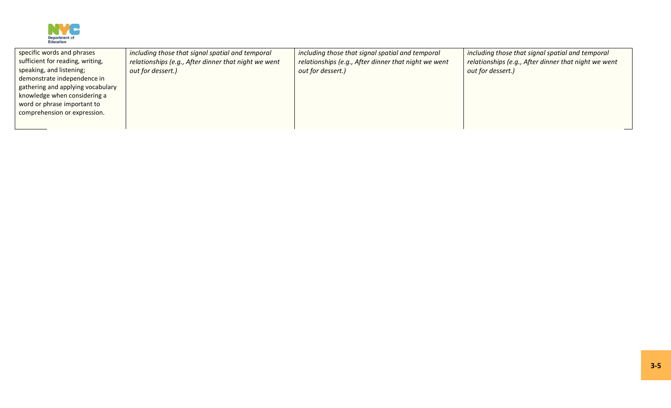

| specific words and phrases        | including those that signal spatial and temporal     | including those that signal spatial and temporal     | including those that signal spatial and temporal     |
|-----------------------------------|------------------------------------------------------|------------------------------------------------------|------------------------------------------------------|
| sufficient for reading, writing,  | relationships (e.g., After dinner that night we went | relationships (e.g., After dinner that night we went | relationships (e.g., After dinner that night we went |
| speaking, and listening;          | out for dessert.)                                    | out for dessert.)                                    | out for dessert.)                                    |
| demonstrate independence in       |                                                      |                                                      |                                                      |
| gathering and applying vocabulary |                                                      |                                                      |                                                      |
| knowledge when considering a      |                                                      |                                                      |                                                      |
| word or phrase important to       |                                                      |                                                      |                                                      |
| comprehension or expression.      |                                                      |                                                      |                                                      |
|                                   |                                                      |                                                      |                                                      |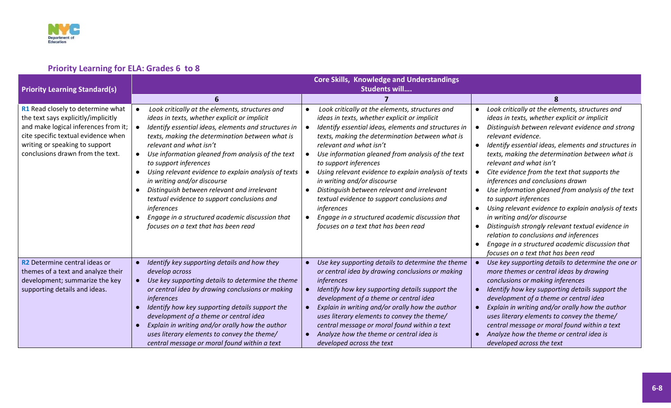

# **Priority Learning for ELA: Grades 6 to 8**

|                                                                                                                                                                                                                               | <b>Core Skills, Knowledge and Understandings</b>                                                                                                                                                                                                                                                                                                                                                                                                                                                                                                                                                                                                                      |                                                                                                                                                                                                                                                                                                                                                                                                                                                                                                                                                                                                                   |                                                                                                                                                                                                                                                                                                                                                                                                                                                                                                                                                                                                                                                                                                                                                                                                                         |  |  |  |  |
|-------------------------------------------------------------------------------------------------------------------------------------------------------------------------------------------------------------------------------|-----------------------------------------------------------------------------------------------------------------------------------------------------------------------------------------------------------------------------------------------------------------------------------------------------------------------------------------------------------------------------------------------------------------------------------------------------------------------------------------------------------------------------------------------------------------------------------------------------------------------------------------------------------------------|-------------------------------------------------------------------------------------------------------------------------------------------------------------------------------------------------------------------------------------------------------------------------------------------------------------------------------------------------------------------------------------------------------------------------------------------------------------------------------------------------------------------------------------------------------------------------------------------------------------------|-------------------------------------------------------------------------------------------------------------------------------------------------------------------------------------------------------------------------------------------------------------------------------------------------------------------------------------------------------------------------------------------------------------------------------------------------------------------------------------------------------------------------------------------------------------------------------------------------------------------------------------------------------------------------------------------------------------------------------------------------------------------------------------------------------------------------|--|--|--|--|
| <b>Priority Learning Standard(s)</b>                                                                                                                                                                                          | Students will                                                                                                                                                                                                                                                                                                                                                                                                                                                                                                                                                                                                                                                         |                                                                                                                                                                                                                                                                                                                                                                                                                                                                                                                                                                                                                   |                                                                                                                                                                                                                                                                                                                                                                                                                                                                                                                                                                                                                                                                                                                                                                                                                         |  |  |  |  |
|                                                                                                                                                                                                                               |                                                                                                                                                                                                                                                                                                                                                                                                                                                                                                                                                                                                                                                                       |                                                                                                                                                                                                                                                                                                                                                                                                                                                                                                                                                                                                                   | ጸ                                                                                                                                                                                                                                                                                                                                                                                                                                                                                                                                                                                                                                                                                                                                                                                                                       |  |  |  |  |
| R1 Read closely to determine what<br>the text says explicitly/implicitly<br>and make logical inferences from it;<br>cite specific textual evidence when<br>writing or speaking to support<br>conclusions drawn from the text. | Look critically at the elements, structures and<br>$\bullet$<br>ideas in texts, whether explicit or implicit<br>Identify essential ideas, elements and structures in<br>texts, making the determination between what is<br>relevant and what isn't<br>Use information gleaned from analysis of the text<br>$\bullet$<br>to support inferences<br>Using relevant evidence to explain analysis of texts<br>$\bullet$<br>in writing and/or discourse<br>Distinguish between relevant and irrelevant<br>$\bullet$<br>textual evidence to support conclusions and<br>inferences<br>Engage in a structured academic discussion that<br>focuses on a text that has been read | Look critically at the elements, structures and<br>ideas in texts, whether explicit or implicit<br>Identify essential ideas, elements and structures in<br>texts, making the determination between what is<br>relevant and what isn't<br>Use information gleaned from analysis of the text<br>to support inferences<br>Using relevant evidence to explain analysis of texts<br>in writing and/or discourse<br>Distinguish between relevant and irrelevant<br>textual evidence to support conclusions and<br>inferences<br>Engage in a structured academic discussion that<br>focuses on a text that has been read | Look critically at the elements, structures and<br>$\bullet$<br>ideas in texts, whether explicit or implicit<br>Distinguish between relevant evidence and strong<br>relevant evidence.<br>Identify essential ideas, elements and structures in<br>texts, making the determination between what is<br>relevant and what isn't<br>Cite evidence from the text that supports the<br>inferences and conclusions drawn<br>Use information gleaned from analysis of the text<br>$\bullet$<br>to support inferences<br>Using relevant evidence to explain analysis of texts<br>$\bullet$<br>in writing and/or discourse<br>Distinguish strongly relevant textual evidence in<br>$\bullet$<br>relation to conclusions and inferences<br>Engage in a structured academic discussion that<br>focuses on a text that has been read |  |  |  |  |
| R <sub>2</sub> Determine central ideas or<br>themes of a text and analyze their<br>development; summarize the key<br>supporting details and ideas.                                                                            | Identify key supporting details and how they<br>$\bullet$<br>develop across<br>Use key supporting details to determine the theme<br>$\bullet$<br>or central idea by drawing conclusions or making<br>inferences<br>Identify how key supporting details support the<br>development of a theme or central idea<br>Explain in writing and/or orally how the author<br>uses literary elements to convey the theme/<br>central message or moral found within a text                                                                                                                                                                                                        | Use key supporting details to determine the theme<br>or central idea by drawing conclusions or making<br>inferences<br>Identify how key supporting details support the<br>development of a theme or central idea<br>Explain in writing and/or orally how the author<br>uses literary elements to convey the theme/<br>central message or moral found within a text<br>Analyze how the theme or central idea is<br>developed across the text                                                                                                                                                                       | Use key supporting details to determine the one or<br>more themes or central ideas by drawing<br>conclusions or making inferences<br>Identify how key supporting details support the<br>development of a theme or central idea<br>Explain in writing and/or orally how the author<br>uses literary elements to convey the theme/<br>central message or moral found within a text<br>Analyze how the theme or central idea is<br>developed across the text                                                                                                                                                                                                                                                                                                                                                               |  |  |  |  |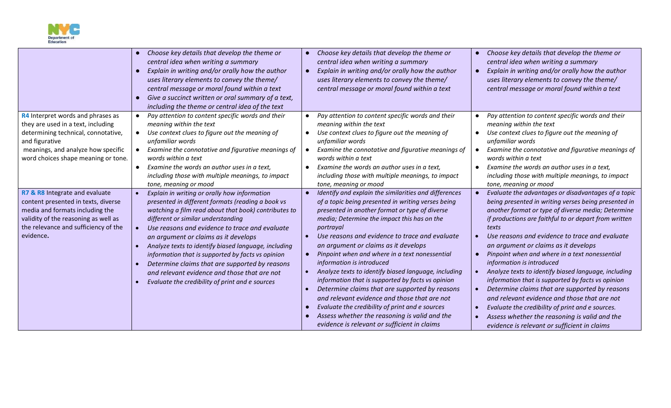

|                                                                                                                                                                                                               | Choose key details that develop the theme or<br>$\bullet$<br>central idea when writing a summary<br>Explain in writing and/or orally how the author<br>$\bullet$<br>uses literary elements to convey the theme/<br>central message or moral found within a text<br>Give a succinct written or oral summary of a text,<br>$\bullet$<br>including the theme or central idea of the text                                                                                                                                                                                                              | Choose key details that develop the theme or<br>central idea when writing a summary<br>Explain in writing and/or orally how the author<br>uses literary elements to convey the theme/<br>central message or moral found within a text                                                                                                                                                                                                                                                                                                                                                                                                                                                                                                                                              | Choose key details that develop the theme or<br>central idea when writing a summary<br>Explain in writing and/or orally how the author<br>uses literary elements to convey the theme/<br>central message or moral found within a text                                                                                                                                                                                                                                                                                                                                                                                                                                                                                                                                            |
|---------------------------------------------------------------------------------------------------------------------------------------------------------------------------------------------------------------|----------------------------------------------------------------------------------------------------------------------------------------------------------------------------------------------------------------------------------------------------------------------------------------------------------------------------------------------------------------------------------------------------------------------------------------------------------------------------------------------------------------------------------------------------------------------------------------------------|------------------------------------------------------------------------------------------------------------------------------------------------------------------------------------------------------------------------------------------------------------------------------------------------------------------------------------------------------------------------------------------------------------------------------------------------------------------------------------------------------------------------------------------------------------------------------------------------------------------------------------------------------------------------------------------------------------------------------------------------------------------------------------|----------------------------------------------------------------------------------------------------------------------------------------------------------------------------------------------------------------------------------------------------------------------------------------------------------------------------------------------------------------------------------------------------------------------------------------------------------------------------------------------------------------------------------------------------------------------------------------------------------------------------------------------------------------------------------------------------------------------------------------------------------------------------------|
| R4 Interpret words and phrases as<br>they are used in a text, including<br>determining technical, connotative,<br>and figurative<br>meanings, and analyze how specific<br>word choices shape meaning or tone. | Pay attention to content specific words and their<br>$\bullet$<br>meaning within the text<br>Use context clues to figure out the meaning of<br>$\bullet$<br>unfamiliar words<br>Examine the connotative and figurative meanings of<br>$\bullet$<br>words within a text<br>Examine the words an author uses in a text,<br>$\bullet$<br>including those with multiple meanings, to impact<br>tone, meaning or mood                                                                                                                                                                                   | Pay attention to content specific words and their<br>meaning within the text<br>Use context clues to figure out the meaning of<br>$\bullet$<br>unfamiliar words<br>Examine the connotative and figurative meanings of<br>words within a text<br>Examine the words an author uses in a text,<br>including those with multiple meanings, to impact<br>tone, meaning or mood                                                                                                                                                                                                                                                                                                                                                                                                          | Pay attention to content specific words and their<br>meaning within the text<br>Use context clues to figure out the meaning of<br>$\bullet$<br>unfamiliar words<br>Examine the connotative and figurative meanings of<br>words within a text<br>Examine the words an author uses in a text,<br>including those with multiple meanings, to impact<br>tone, meaning or mood                                                                                                                                                                                                                                                                                                                                                                                                        |
| R7 & R8 Integrate and evaluate<br>content presented in texts, diverse<br>media and formats including the<br>validity of the reasoning as well as<br>the relevance and sufficiency of the<br>evidence.         | Explain in writing or orally how information<br>$\bullet$<br>presented in different formats (reading a book vs<br>watching a film read about that book) contributes to<br>different or similar understanding<br>Use reasons and evidence to trace and evaluate<br>$\bullet$<br>an argument or claims as it develops<br>Analyze texts to identify biased language, including<br>$\bullet$<br>information that is supported by facts vs opinion<br>Determine claims that are supported by reasons<br>and relevant evidence and those that are not<br>Evaluate the credibility of print and e sources | Identify and explain the similarities and differences<br>of a topic being presented in writing verses being<br>presented in another format or type of diverse<br>media; Determine the impact this has on the<br>portrayal<br>Use reasons and evidence to trace and evaluate<br>an argument or claims as it develops<br>Pinpoint when and where in a text nonessential<br>$\bullet$<br>information is introduced<br>Analyze texts to identify biased language, including<br>information that is supported by facts vs opinion<br>Determine claims that are supported by reasons<br>and relevant evidence and those that are not<br>Evaluate the credibility of print and e sources<br>Assess whether the reasoning is valid and the<br>evidence is relevant or sufficient in claims | Evaluate the advantages or disadvantages of a topic<br>being presented in writing verses being presented in<br>another format or type of diverse media; Determine<br>if productions are faithful to or depart from written<br>texts<br>Use reasons and evidence to trace and evaluate<br>an argument or claims as it develops<br>Pinpoint when and where in a text nonessential<br>information is introduced<br>Analyze texts to identify biased language, including<br>information that is supported by facts vs opinion<br>Determine claims that are supported by reasons<br>and relevant evidence and those that are not<br>Evaluate the credibility of print and e sources.<br>Assess whether the reasoning is valid and the<br>evidence is relevant or sufficient in claims |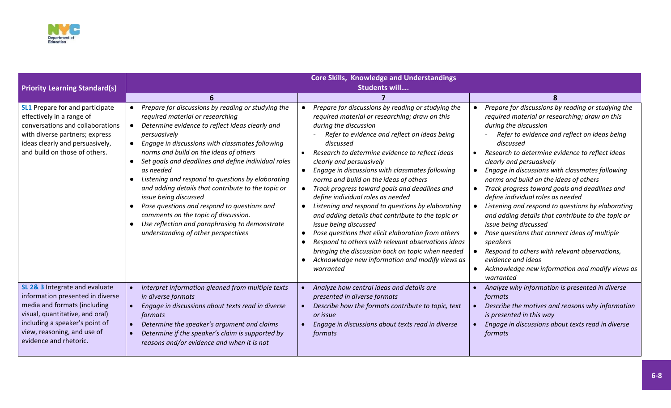

|                                                                                                                                                                                                                                  | <b>Core Skills, Knowledge and Understandings</b>                                                                                                                                                                                                                                                                                                                                                                                                                                                                                                                                                                                                                         |                                                                                                                                                                                                                                                                                                                                                                                                                                                                                                                                                                                                                                                                                                                                                                                                                                                                                                    |                                                                                                                                                                                                                                                                                                                                                                                                                                                                                                                                                                                                                                                                                                                                                                                                      |  |  |  |  |  |
|----------------------------------------------------------------------------------------------------------------------------------------------------------------------------------------------------------------------------------|--------------------------------------------------------------------------------------------------------------------------------------------------------------------------------------------------------------------------------------------------------------------------------------------------------------------------------------------------------------------------------------------------------------------------------------------------------------------------------------------------------------------------------------------------------------------------------------------------------------------------------------------------------------------------|----------------------------------------------------------------------------------------------------------------------------------------------------------------------------------------------------------------------------------------------------------------------------------------------------------------------------------------------------------------------------------------------------------------------------------------------------------------------------------------------------------------------------------------------------------------------------------------------------------------------------------------------------------------------------------------------------------------------------------------------------------------------------------------------------------------------------------------------------------------------------------------------------|------------------------------------------------------------------------------------------------------------------------------------------------------------------------------------------------------------------------------------------------------------------------------------------------------------------------------------------------------------------------------------------------------------------------------------------------------------------------------------------------------------------------------------------------------------------------------------------------------------------------------------------------------------------------------------------------------------------------------------------------------------------------------------------------------|--|--|--|--|--|
| <b>Priority Learning Standard(s)</b>                                                                                                                                                                                             | <b>Students will</b>                                                                                                                                                                                                                                                                                                                                                                                                                                                                                                                                                                                                                                                     |                                                                                                                                                                                                                                                                                                                                                                                                                                                                                                                                                                                                                                                                                                                                                                                                                                                                                                    |                                                                                                                                                                                                                                                                                                                                                                                                                                                                                                                                                                                                                                                                                                                                                                                                      |  |  |  |  |  |
|                                                                                                                                                                                                                                  |                                                                                                                                                                                                                                                                                                                                                                                                                                                                                                                                                                                                                                                                          |                                                                                                                                                                                                                                                                                                                                                                                                                                                                                                                                                                                                                                                                                                                                                                                                                                                                                                    | 8                                                                                                                                                                                                                                                                                                                                                                                                                                                                                                                                                                                                                                                                                                                                                                                                    |  |  |  |  |  |
| <b>SL1</b> Prepare for and participate<br>effectively in a range of<br>conversations and collaborations<br>with diverse partners; express<br>ideas clearly and persuasively,<br>and build on those of others.                    | Prepare for discussions by reading or studying the<br>required material or researching<br>Determine evidence to reflect ideas clearly and<br>persuasively<br>Engage in discussions with classmates following<br>norms and build on the ideas of others<br>Set goals and deadlines and define individual roles<br>$\bullet$<br>as needed<br>Listening and respond to questions by elaborating<br>and adding details that contribute to the topic or<br>issue being discussed<br>Pose questions and respond to questions and<br>$\bullet$<br>comments on the topic of discussion.<br>Use reflection and paraphrasing to demonstrate<br>understanding of other perspectives | Prepare for discussions by reading or studying the<br>$\bullet$<br>required material or researching; draw on this<br>during the discussion<br>Refer to evidence and reflect on ideas being<br>discussed<br>Research to determine evidence to reflect ideas<br>clearly and persuasively<br>Engage in discussions with classmates following<br>$\bullet$<br>norms and build on the ideas of others<br>Track progress toward goals and deadlines and<br>$\bullet$<br>define individual roles as needed<br>Listening and respond to questions by elaborating<br>$\bullet$<br>and adding details that contribute to the topic or<br>issue being discussed<br>Pose questions that elicit elaboration from others<br>$\bullet$<br>Respond to others with relevant observations ideas<br>bringing the discussion back on topic when needed<br>Acknowledge new information and modify views as<br>warranted | Prepare for discussions by reading or studying the<br>required material or researching; draw on this<br>during the discussion<br>Refer to evidence and reflect on ideas being<br>discussed<br>Research to determine evidence to reflect ideas<br>clearly and persuasively<br>Engage in discussions with classmates following<br>norms and build on the ideas of others<br>Track progress toward goals and deadlines and<br>define individual roles as needed<br>Listening and respond to questions by elaborating<br>and adding details that contribute to the topic or<br>issue being discussed<br>Pose questions that connect ideas of multiple<br>speakers<br>Respond to others with relevant observations,<br>evidence and ideas<br>Acknowledge new information and modify views as<br>warranted |  |  |  |  |  |
| SL 2& 3 Integrate and evaluate<br>information presented in diverse<br>media and formats (including<br>visual, quantitative, and oral)<br>including a speaker's point of<br>view, reasoning, and use of<br>evidence and rhetoric. | Interpret information gleaned from multiple texts<br>in diverse formats<br>Engage in discussions about texts read in diverse<br>formats<br>Determine the speaker's argument and claims<br>Determine if the speaker's claim is supported by<br>reasons and/or evidence and when it is not                                                                                                                                                                                                                                                                                                                                                                                 | Analyze how central ideas and details are<br>presented in diverse formats<br>Describe how the formats contribute to topic, text<br>or issue<br>Engage in discussions about texts read in diverse<br>formats                                                                                                                                                                                                                                                                                                                                                                                                                                                                                                                                                                                                                                                                                        | Analyze why information is presented in diverse<br>formats<br>Describe the motives and reasons why information<br>is presented in this way<br>Engage in discussions about texts read in diverse<br>formats                                                                                                                                                                                                                                                                                                                                                                                                                                                                                                                                                                                           |  |  |  |  |  |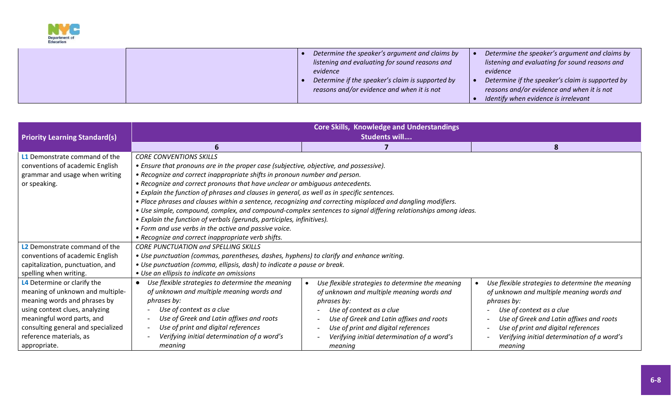

|  | Determine the speaker's argument and claims by   | Determine the speaker's argument and claims by   |
|--|--------------------------------------------------|--------------------------------------------------|
|  | listening and evaluating for sound reasons and   | listening and evaluating for sound reasons and   |
|  | evidence                                         | evidence                                         |
|  | Determine if the speaker's claim is supported by | Determine if the speaker's claim is supported by |
|  | reasons and/or evidence and when it is not       | reasons and/or evidence and when it is not       |
|  |                                                  | Identify when evidence is irrelevant             |

| <b>Priority Learning Standard(s)</b>                                                                                                                                                                                                             | <b>Core Skills, Knowledge and Understandings</b><br>Students will                                                                                                                                                                                                                                                                                                                                                                                                                                                                                                                                                                                                                             |                                                                                                                                                                                                                                                                                       |                                                                                                                                                                                                                                                                                       |
|--------------------------------------------------------------------------------------------------------------------------------------------------------------------------------------------------------------------------------------------------|-----------------------------------------------------------------------------------------------------------------------------------------------------------------------------------------------------------------------------------------------------------------------------------------------------------------------------------------------------------------------------------------------------------------------------------------------------------------------------------------------------------------------------------------------------------------------------------------------------------------------------------------------------------------------------------------------|---------------------------------------------------------------------------------------------------------------------------------------------------------------------------------------------------------------------------------------------------------------------------------------|---------------------------------------------------------------------------------------------------------------------------------------------------------------------------------------------------------------------------------------------------------------------------------------|
|                                                                                                                                                                                                                                                  | 6                                                                                                                                                                                                                                                                                                                                                                                                                                                                                                                                                                                                                                                                                             | 7                                                                                                                                                                                                                                                                                     | 8                                                                                                                                                                                                                                                                                     |
| L1 Demonstrate command of the<br>conventions of academic English<br>grammar and usage when writing<br>or speaking.                                                                                                                               | <b>CORE CONVENTIONS SKILLS</b><br>• Ensure that pronouns are in the proper case (subjective, objective, and possessive).<br>• Recognize and correct inappropriate shifts in pronoun number and person.<br>• Recognize and correct pronouns that have unclear or ambiguous antecedents.<br>• Explain the function of phrases and clauses in general, as well as in specific sentences.<br>. Place phrases and clauses within a sentence, recognizing and correcting misplaced and dangling modifiers.<br>• Explain the function of verbals (gerunds, participles, infinitives).<br>• Form and use verbs in the active and passive voice.<br>• Recognize and correct inappropriate verb shifts. | . Use simple, compound, complex, and compound-complex sentences to signal differing relationships among ideas.                                                                                                                                                                        |                                                                                                                                                                                                                                                                                       |
| L2 Demonstrate command of the<br>conventions of academic English<br>capitalization, punctuation, and<br>spelling when writing.                                                                                                                   | <b>CORE PUNCTUATION and SPELLING SKILLS</b><br>• Use punctuation (commas, parentheses, dashes, hyphens) to clarify and enhance writing.<br>• Use punctuation (comma, ellipsis, dash) to indicate a pause or break.<br>• Use an ellipsis to indicate an omissions                                                                                                                                                                                                                                                                                                                                                                                                                              |                                                                                                                                                                                                                                                                                       |                                                                                                                                                                                                                                                                                       |
| L4 Determine or clarify the<br>meaning of unknown and multiple-<br>meaning words and phrases by<br>using context clues, analyzing<br>meaningful word parts, and<br>consulting general and specialized<br>reference materials, as<br>appropriate. | Use flexible strategies to determine the meaning<br>of unknown and multiple meaning words and<br>phrases by:<br>Use of context as a clue<br>Use of Greek and Latin affixes and roots<br>Use of print and digital references<br>Verifying initial determination of a word's<br>meaning                                                                                                                                                                                                                                                                                                                                                                                                         | Use flexible strategies to determine the meaning<br>of unknown and multiple meaning words and<br>phrases by:<br>Use of context as a clue<br>Use of Greek and Latin affixes and roots<br>Use of print and digital references<br>Verifying initial determination of a word's<br>meaning | Use flexible strategies to determine the meaning<br>of unknown and multiple meaning words and<br>phrases by:<br>Use of context as a clue<br>Use of Greek and Latin affixes and roots<br>Use of print and digital references<br>Verifying initial determination of a word's<br>meaning |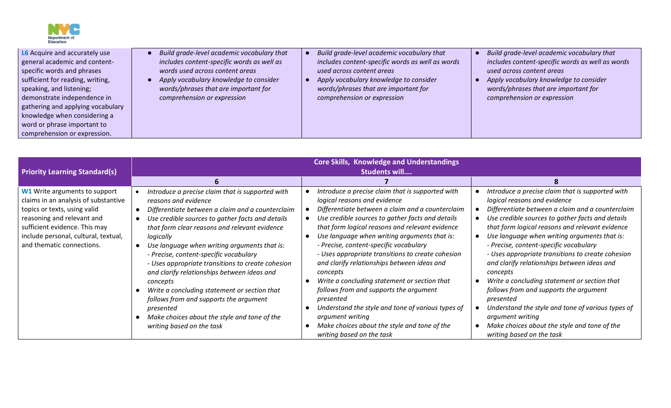

| <b>Priority Learning Standard(s)</b>                                                                                                                                                                                                             | <b>Core Skills, Knowledge and Understandings</b><br>Students will                                                                                                                                                                                                                                                                                                                                                                                                                                                                                                                                                                            |                                                                                                                                                                                                                                                                                                                                                                                                                                                                                                                                                                                                                                                                                                                    |                                                                                                                                                                                                                                                                                                                                                                                                                                                                                                                                                                                                                                                                                                                    |
|--------------------------------------------------------------------------------------------------------------------------------------------------------------------------------------------------------------------------------------------------|----------------------------------------------------------------------------------------------------------------------------------------------------------------------------------------------------------------------------------------------------------------------------------------------------------------------------------------------------------------------------------------------------------------------------------------------------------------------------------------------------------------------------------------------------------------------------------------------------------------------------------------------|--------------------------------------------------------------------------------------------------------------------------------------------------------------------------------------------------------------------------------------------------------------------------------------------------------------------------------------------------------------------------------------------------------------------------------------------------------------------------------------------------------------------------------------------------------------------------------------------------------------------------------------------------------------------------------------------------------------------|--------------------------------------------------------------------------------------------------------------------------------------------------------------------------------------------------------------------------------------------------------------------------------------------------------------------------------------------------------------------------------------------------------------------------------------------------------------------------------------------------------------------------------------------------------------------------------------------------------------------------------------------------------------------------------------------------------------------|
|                                                                                                                                                                                                                                                  |                                                                                                                                                                                                                                                                                                                                                                                                                                                                                                                                                                                                                                              |                                                                                                                                                                                                                                                                                                                                                                                                                                                                                                                                                                                                                                                                                                                    |                                                                                                                                                                                                                                                                                                                                                                                                                                                                                                                                                                                                                                                                                                                    |
| <b>W1</b> Write arguments to support<br>claims in an analysis of substantive<br>topics or texts, using valid<br>reasoning and relevant and<br>sufficient evidence. This may<br>include personal, cultural, textual,<br>and thematic connections. | Introduce a precise claim that is supported with<br>reasons and evidence<br>Differentiate between a claim and a counterclaim<br>Use credible sources to gather facts and details<br>that form clear reasons and relevant evidence<br>logically<br>Use language when writing arguments that is:<br>- Precise, content-specific vocabulary<br>- Uses appropriate transitions to create cohesion<br>and clarify relationships between ideas and<br>concepts<br>Write a concluding statement or section that<br>follows from and supports the argument<br>presented<br>Make choices about the style and tone of the<br>writing based on the task | Introduce a precise claim that is supported with<br>logical reasons and evidence<br>Differentiate between a claim and a counterclaim<br>Use credible sources to gather facts and details<br>that form logical reasons and relevant evidence<br>Use language when writing arguments that is:<br>- Precise, content-specific vocabulary<br>- Uses appropriate transitions to create cohesion<br>and clarify relationships between ideas and<br>concepts<br>Write a concluding statement or section that<br>follows from and supports the argument<br>presented<br>Understand the style and tone of various types of<br>argument writing<br>Make choices about the style and tone of the<br>writing based on the task | Introduce a precise claim that is supported with<br>logical reasons and evidence<br>Differentiate between a claim and a counterclaim<br>Use credible sources to gather facts and details<br>that form logical reasons and relevant evidence<br>Use language when writing arguments that is:<br>- Precise, content-specific vocabulary<br>- Uses appropriate transitions to create cohesion<br>and clarify relationships between ideas and<br>concepts<br>Write a concluding statement or section that<br>follows from and supports the argument<br>presented<br>Understand the style and tone of various types of<br>argument writing<br>Make choices about the style and tone of the<br>writing based on the task |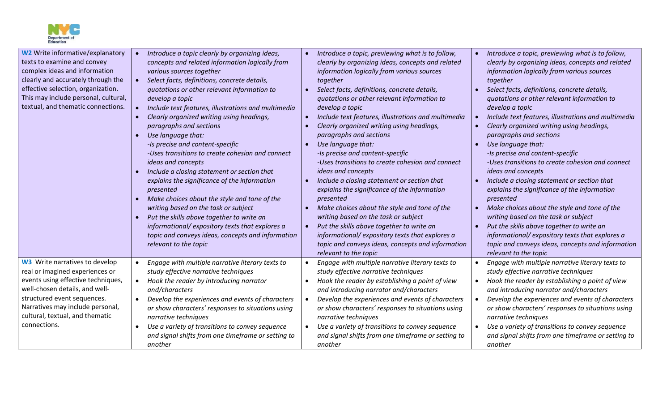

| <b>W2</b> Write informative/explanatory<br>texts to examine and convey<br>complex ideas and information<br>clearly and accurately through the<br>effective selection, organization.<br>This may include personal, cultural,<br>textual, and thematic connections.      | Introduce a topic clearly by organizing ideas,<br>concepts and related information logically from<br>various sources together<br>Select facts, definitions, concrete details,<br>$\bullet$<br>quotations or other relevant information to<br>develop a topic<br>Include text features, illustrations and multimedia<br>$\bullet$<br>Clearly organized writing using headings,<br>$\bullet$<br>paragraphs and sections<br>Use language that:<br>-Is precise and content-specific<br>-Uses transitions to create cohesion and connect<br>ideas and concepts<br>Include a closing statement or section that<br>explains the significance of the information<br>presented<br>Make choices about the style and tone of the<br>writing based on the task or subject<br>Put the skills above together to write an<br>informational/expository texts that explores a<br>topic and conveys ideas, concepts and information<br>relevant to the topic | Introduce a topic, previewing what is to follow,<br>clearly by organizing ideas, concepts and related<br>information logically from various sources<br>together<br>Select facts, definitions, concrete details,<br>quotations or other relevant information to<br>develop a topic<br>Include text features, illustrations and multimedia<br>Clearly organized writing using headings,<br>paragraphs and sections<br>Use language that:<br>-Is precise and content-specific<br>-Uses transitions to create cohesion and connect<br>ideas and concepts<br>Include a closing statement or section that<br>explains the significance of the information<br>presented<br>Make choices about the style and tone of the<br>writing based on the task or subject<br>Put the skills above together to write an<br>informational/expository texts that explores a<br>topic and conveys ideas, concepts and information<br>relevant to the topic | Introduce a topic, previewing what is to follow,<br>clearly by organizing ideas, concepts and related<br>information logically from various sources<br>together<br>Select facts, definitions, concrete details,<br>quotations or other relevant information to<br>develop a topic<br>Include text features, illustrations and multimedia<br>Clearly organized writing using headings,<br>paragraphs and sections<br>Use language that:<br>-Is precise and content-specific<br>-Uses transitions to create cohesion and connect<br>ideas and concepts<br>Include a closing statement or section that<br>explains the significance of the information<br>presented<br>Make choices about the style and tone of the<br>writing based on the task or subject<br>Put the skills above together to write an<br>informational/expository texts that explores a<br>topic and conveys ideas, concepts and information<br>relevant to the topic |
|------------------------------------------------------------------------------------------------------------------------------------------------------------------------------------------------------------------------------------------------------------------------|--------------------------------------------------------------------------------------------------------------------------------------------------------------------------------------------------------------------------------------------------------------------------------------------------------------------------------------------------------------------------------------------------------------------------------------------------------------------------------------------------------------------------------------------------------------------------------------------------------------------------------------------------------------------------------------------------------------------------------------------------------------------------------------------------------------------------------------------------------------------------------------------------------------------------------------------|---------------------------------------------------------------------------------------------------------------------------------------------------------------------------------------------------------------------------------------------------------------------------------------------------------------------------------------------------------------------------------------------------------------------------------------------------------------------------------------------------------------------------------------------------------------------------------------------------------------------------------------------------------------------------------------------------------------------------------------------------------------------------------------------------------------------------------------------------------------------------------------------------------------------------------------|---------------------------------------------------------------------------------------------------------------------------------------------------------------------------------------------------------------------------------------------------------------------------------------------------------------------------------------------------------------------------------------------------------------------------------------------------------------------------------------------------------------------------------------------------------------------------------------------------------------------------------------------------------------------------------------------------------------------------------------------------------------------------------------------------------------------------------------------------------------------------------------------------------------------------------------|
| <b>W3</b> Write narratives to develop<br>real or imagined experiences or<br>events using effective techniques,<br>well-chosen details, and well-<br>structured event sequences.<br>Narratives may include personal,<br>cultural, textual, and thematic<br>connections. | Engage with multiple narrative literary texts to<br>$\bullet$<br>study effective narrative techniques<br>Hook the reader by introducing narrator<br>$\bullet$<br>and/characters<br>Develop the experiences and events of characters<br>$\bullet$<br>or show characters' responses to situations using<br>narrative techniques<br>Use a variety of transitions to convey sequence<br>$\bullet$<br>and signal shifts from one timeframe or setting to<br>another                                                                                                                                                                                                                                                                                                                                                                                                                                                                             | Engage with multiple narrative literary texts to<br>study effective narrative techniques<br>Hook the reader by establishing a point of view<br>and introducing narrator and/characters<br>Develop the experiences and events of characters<br>or show characters' responses to situations using<br>narrative techniques<br>Use a variety of transitions to convey sequence<br>and signal shifts from one timeframe or setting to<br>another                                                                                                                                                                                                                                                                                                                                                                                                                                                                                           | Engage with multiple narrative literary texts to<br>study effective narrative techniques<br>Hook the reader by establishing a point of view<br>and introducing narrator and/characters<br>Develop the experiences and events of characters<br>or show characters' responses to situations using<br>narrative techniques<br>Use a variety of transitions to convey sequence<br>and signal shifts from one timeframe or setting to<br>another                                                                                                                                                                                                                                                                                                                                                                                                                                                                                           |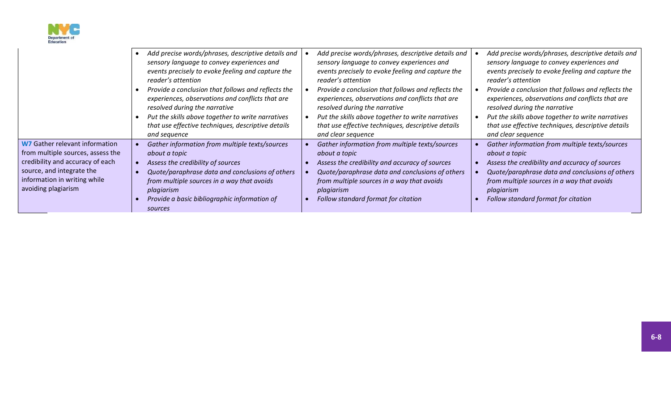

|                                                                                                                                                                                                    | Add precise words/phrases, descriptive details and<br>sensory language to convey experiences and<br>events precisely to evoke feeling and capture the<br>reader's attention<br>Provide a conclusion that follows and reflects the<br>experiences, observations and conflicts that are<br>resolved during the narrative<br>Put the skills above together to write narratives<br>that use effective techniques, descriptive details<br>and sequence | Add precise words/phrases, descriptive details and<br>sensory language to convey experiences and<br>events precisely to evoke feeling and capture the<br>reader's attention<br>Provide a conclusion that follows and reflects the<br>experiences, observations and conflicts that are<br>resolved during the narrative<br>Put the skills above together to write narratives<br>that use effective techniques, descriptive details<br>and clear sequence | Add precise words/phrases, descriptive details and<br>sensory language to convey experiences and<br>events precisely to evoke feeling and capture the<br>reader's attention<br>Provide a conclusion that follows and reflects the<br>experiences, observations and conflicts that are<br>resolved during the narrative<br>Put the skills above together to write narratives<br>that use effective techniques, descriptive details<br>and clear sequence |
|----------------------------------------------------------------------------------------------------------------------------------------------------------------------------------------------------|---------------------------------------------------------------------------------------------------------------------------------------------------------------------------------------------------------------------------------------------------------------------------------------------------------------------------------------------------------------------------------------------------------------------------------------------------|---------------------------------------------------------------------------------------------------------------------------------------------------------------------------------------------------------------------------------------------------------------------------------------------------------------------------------------------------------------------------------------------------------------------------------------------------------|---------------------------------------------------------------------------------------------------------------------------------------------------------------------------------------------------------------------------------------------------------------------------------------------------------------------------------------------------------------------------------------------------------------------------------------------------------|
| <b>W7</b> Gather relevant information<br>from multiple sources, assess the<br>credibility and accuracy of each<br>source, and integrate the<br>information in writing while<br>avoiding plagiarism | Gather information from multiple texts/sources<br>about a topic<br>Assess the credibility of sources<br>Quote/paraphrase data and conclusions of others<br>from multiple sources in a way that avoids<br>plagiarism<br>Provide a basic bibliographic information of<br>sources                                                                                                                                                                    | Gather information from multiple texts/sources<br>about a topic<br>Assess the credibility and accuracy of sources<br>Quote/paraphrase data and conclusions of others<br>from multiple sources in a way that avoids<br>plagiarism<br>Follow standard format for citation                                                                                                                                                                                 | Gather information from multiple texts/sources<br>about a topic<br>Assess the credibility and accuracy of sources<br>Quote/paraphrase data and conclusions of others<br>from multiple sources in a way that avoids<br>plagiarism<br>Follow standard format for citation                                                                                                                                                                                 |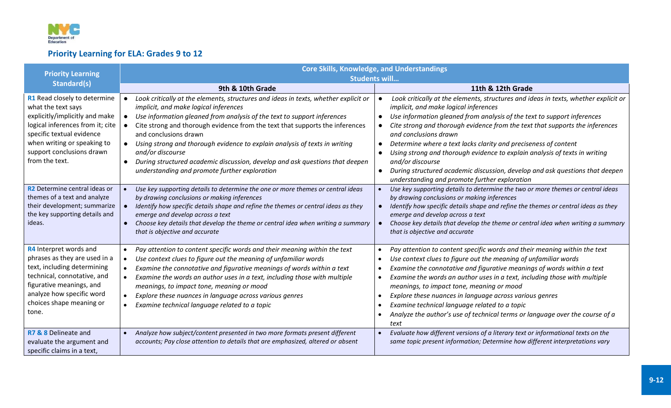

# **Priority Learning for ELA: Grades 9 to 12**

| <b>Priority Learning</b>                                                                                                                                                                                                            | <b>Core Skills, Knowledge, and Understandings</b>                                                                                                                                                                                                                                                                                                                                                                                                                                                                                                                             |                                                                                                                                                                                                                                                                                                                                                                                                                                                                                                                                                                                                                                                                            |  |
|-------------------------------------------------------------------------------------------------------------------------------------------------------------------------------------------------------------------------------------|-------------------------------------------------------------------------------------------------------------------------------------------------------------------------------------------------------------------------------------------------------------------------------------------------------------------------------------------------------------------------------------------------------------------------------------------------------------------------------------------------------------------------------------------------------------------------------|----------------------------------------------------------------------------------------------------------------------------------------------------------------------------------------------------------------------------------------------------------------------------------------------------------------------------------------------------------------------------------------------------------------------------------------------------------------------------------------------------------------------------------------------------------------------------------------------------------------------------------------------------------------------------|--|
|                                                                                                                                                                                                                                     |                                                                                                                                                                                                                                                                                                                                                                                                                                                                                                                                                                               | <b>Students will</b>                                                                                                                                                                                                                                                                                                                                                                                                                                                                                                                                                                                                                                                       |  |
| <b>Standard(s)</b>                                                                                                                                                                                                                  | 9th & 10th Grade                                                                                                                                                                                                                                                                                                                                                                                                                                                                                                                                                              | 11th & 12th Grade                                                                                                                                                                                                                                                                                                                                                                                                                                                                                                                                                                                                                                                          |  |
| R1 Read closely to determine<br>what the text says<br>explicitly/implicitly and make<br>logical inferences from it; cite<br>specific textual evidence<br>when writing or speaking to<br>support conclusions drawn<br>from the text. | Look critically at the elements, structures and ideas in texts, whether explicit or<br>implicit, and make logical inferences<br>Use information gleaned from analysis of the text to support inferences<br>Cite strong and thorough evidence from the text that supports the inferences<br>and conclusions drawn<br>Using strong and thorough evidence to explain analysis of texts in writing<br>$\bullet$<br>and/or discourse<br>During structured academic discussion, develop and ask questions that deepen<br>$\bullet$<br>understanding and promote further exploration | Look critically at the elements, structures and ideas in texts, whether explicit or<br>implicit, and make logical inferences<br>Use information gleaned from analysis of the text to support inferences<br>Cite strong and thorough evidence from the text that supports the inferences<br>$\bullet$<br>and conclusions drawn<br>Determine where a text lacks clarity and preciseness of content<br>$\bullet$<br>Using strong and thorough evidence to explain analysis of texts in writing<br>$\bullet$<br>and/or discourse<br>During structured academic discussion, develop and ask questions that deepen<br>$\bullet$<br>understanding and promote further exploration |  |
| R2 Determine central ideas or<br>themes of a text and analyze<br>their development; summarize<br>the key supporting details and<br>ideas.                                                                                           | Use key supporting details to determine the one or more themes or central ideas<br>by drawing conclusions or making inferences<br>Identify how specific details shape and refine the themes or central ideas as they<br>emerge and develop across a text<br>Choose key details that develop the theme or central idea when writing a summary<br>$\bullet$<br>that is objective and accurate                                                                                                                                                                                   | Use key supporting details to determine the two or more themes or central ideas<br>by drawing conclusions or making inferences<br>Identify how specific details shape and refine the themes or central ideas as they<br>$\bullet$<br>emerge and develop across a text<br>Choose key details that develop the theme or central idea when writing a summary<br>that is objective and accurate                                                                                                                                                                                                                                                                                |  |
| R4 Interpret words and<br>phrases as they are used in a<br>text, including determining<br>technical, connotative, and<br>figurative meanings, and<br>analyze how specific word<br>choices shape meaning or<br>tone.                 | Pay attention to content specific words and their meaning within the text<br>$\bullet$<br>Use context clues to figure out the meaning of unfamiliar words<br>$\bullet$<br>Examine the connotative and figurative meanings of words within a text<br>$\bullet$<br>Examine the words an author uses in a text, including those with multiple<br>$\bullet$<br>meanings, to impact tone, meaning or mood<br>Explore these nuances in language across various genres<br>$\bullet$<br>Examine technical language related to a topic<br>$\bullet$                                    | Pay attention to content specific words and their meaning within the text<br>Use context clues to figure out the meaning of unfamiliar words<br>Examine the connotative and figurative meanings of words within a text<br>Examine the words an author uses in a text, including those with multiple<br>meanings, to impact tone, meaning or mood<br>Explore these nuances in language across various genres<br>Examine technical language related to a topic<br>Analyze the author's use of technical terms or language over the course of a<br>text                                                                                                                       |  |
| R7 & 8 Delineate and<br>evaluate the argument and<br>specific claims in a text,                                                                                                                                                     | Analyze how subject/content presented in two more formats present different<br>$\bullet$<br>accounts; Pay close attention to details that are emphasized, altered or absent                                                                                                                                                                                                                                                                                                                                                                                                   | Evaluate how different versions of a literary text or informational texts on the<br>same topic present information; Determine how different interpretations vary                                                                                                                                                                                                                                                                                                                                                                                                                                                                                                           |  |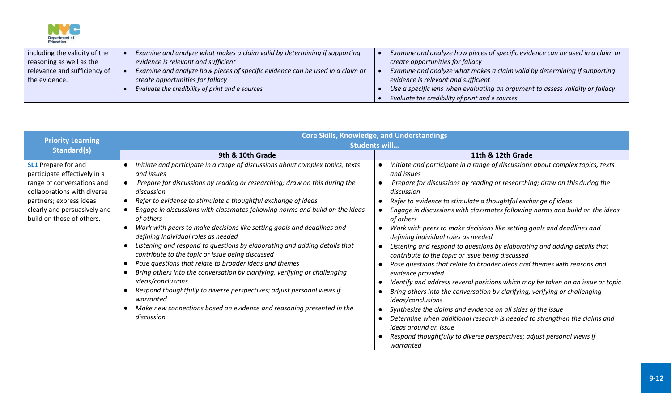

| including the validity of the | Examine and analyze what makes a claim valid by determining if supporting     | Examine and analyze how pieces of specific evidence can be used in a claim or |
|-------------------------------|-------------------------------------------------------------------------------|-------------------------------------------------------------------------------|
| reasoning as well as the      | evidence is relevant and sufficient                                           | create opportunities for fallacy                                              |
| relevance and sufficiency of  | Examine and analyze how pieces of specific evidence can be used in a claim or | Examine and analyze what makes a claim valid by determining if supporting     |
| the evidence.                 | create opportunities for fallacy                                              | evidence is relevant and sufficient                                           |
|                               | Evaluate the credibility of print and e sources                               | Use a specific lens when evaluating an argument to assess validity or fallacy |
|                               |                                                                               | Evaluate the credibility of print and e sources                               |

| <b>Priority Learning</b>                                                                                                                                                                                        | <b>Core Skills, Knowledge, and Understandings</b>                                                                                                                                                                                                                                                                                                                                                                                                                                                                                                                                                                                                                                                                                                                                                                                                                                                                                                   |                                                                                                                                                                                                                                                                                                                                                                                                                                                                                                                                                                                                                                                                                                                                                                                                                                                                                                                                                                                                                                                                                                                                                            |  |  |
|-----------------------------------------------------------------------------------------------------------------------------------------------------------------------------------------------------------------|-----------------------------------------------------------------------------------------------------------------------------------------------------------------------------------------------------------------------------------------------------------------------------------------------------------------------------------------------------------------------------------------------------------------------------------------------------------------------------------------------------------------------------------------------------------------------------------------------------------------------------------------------------------------------------------------------------------------------------------------------------------------------------------------------------------------------------------------------------------------------------------------------------------------------------------------------------|------------------------------------------------------------------------------------------------------------------------------------------------------------------------------------------------------------------------------------------------------------------------------------------------------------------------------------------------------------------------------------------------------------------------------------------------------------------------------------------------------------------------------------------------------------------------------------------------------------------------------------------------------------------------------------------------------------------------------------------------------------------------------------------------------------------------------------------------------------------------------------------------------------------------------------------------------------------------------------------------------------------------------------------------------------------------------------------------------------------------------------------------------------|--|--|
| Standard(s)                                                                                                                                                                                                     | <b>Students will</b>                                                                                                                                                                                                                                                                                                                                                                                                                                                                                                                                                                                                                                                                                                                                                                                                                                                                                                                                |                                                                                                                                                                                                                                                                                                                                                                                                                                                                                                                                                                                                                                                                                                                                                                                                                                                                                                                                                                                                                                                                                                                                                            |  |  |
|                                                                                                                                                                                                                 | 9th & 10th Grade                                                                                                                                                                                                                                                                                                                                                                                                                                                                                                                                                                                                                                                                                                                                                                                                                                                                                                                                    | 11th & 12th Grade                                                                                                                                                                                                                                                                                                                                                                                                                                                                                                                                                                                                                                                                                                                                                                                                                                                                                                                                                                                                                                                                                                                                          |  |  |
| <b>SL1</b> Prepare for and<br>participate effectively in a<br>range of conversations and<br>collaborations with diverse<br>partners; express ideas<br>clearly and persuasively and<br>build on those of others. | Initiate and participate in a range of discussions about complex topics, texts<br>and issues<br>Prepare for discussions by reading or researching; draw on this during the<br>discussion<br>Refer to evidence to stimulate a thoughtful exchange of ideas<br>Engage in discussions with classmates following norms and build on the ideas<br>of others<br>Work with peers to make decisions like setting goals and deadlines and<br>defining individual roles as needed<br>Listening and respond to questions by elaborating and adding details that<br>contribute to the topic or issue being discussed<br>Pose questions that relate to broader ideas and themes<br>Bring others into the conversation by clarifying, verifying or challenging<br>ideas/conclusions<br>Respond thoughtfully to diverse perspectives; adjust personal views if<br>warranted<br>Make new connections based on evidence and reasoning presented in the<br>discussion | Initiate and participate in a range of discussions about complex topics, texts<br>and issues<br>Prepare for discussions by reading or researching; draw on this during the<br>discussion<br>Refer to evidence to stimulate a thoughtful exchange of ideas<br>Engage in discussions with classmates following norms and build on the ideas<br>of others<br>Work with peers to make decisions like setting goals and deadlines and<br>defining individual roles as needed<br>Listening and respond to questions by elaborating and adding details that<br>contribute to the topic or issue being discussed<br>Pose questions that relate to broader ideas and themes with reasons and<br>evidence provided<br>Identify and address several positions which may be taken on an issue or topic<br>Bring others into the conversation by clarifying, verifying or challenging<br>ideas/conclusions<br>Synthesize the claims and evidence on all sides of the issue<br>Determine when additional research is needed to strengthen the claims and<br>ideas around an issue<br>Respond thoughtfully to diverse perspectives; adjust personal views if<br>warranted |  |  |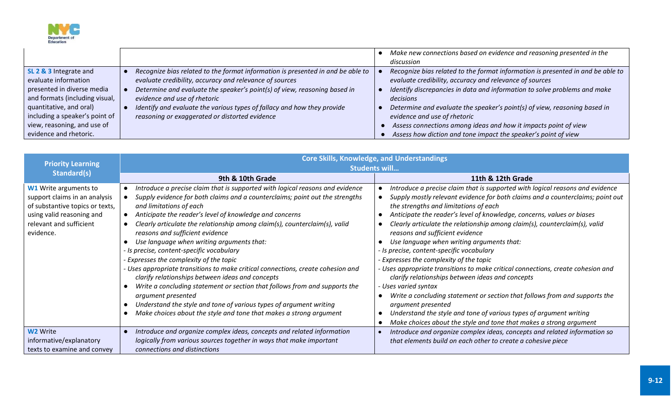

|                                                                                                                                                                                                                                      |                                                                                                                                                                                                                                                                                                                                                                                      | Make new connections based on evidence and reasoning presented in the<br>discussion                                                                                                                                                                                                                                                                                                                                                                                                    |
|--------------------------------------------------------------------------------------------------------------------------------------------------------------------------------------------------------------------------------------|--------------------------------------------------------------------------------------------------------------------------------------------------------------------------------------------------------------------------------------------------------------------------------------------------------------------------------------------------------------------------------------|----------------------------------------------------------------------------------------------------------------------------------------------------------------------------------------------------------------------------------------------------------------------------------------------------------------------------------------------------------------------------------------------------------------------------------------------------------------------------------------|
| SL 2 & 3 Integrate and<br>evaluate information<br>presented in diverse media<br>and formats (including visual,<br>quantitative, and oral)<br>including a speaker's point of<br>view, reasoning, and use of<br>evidence and rhetoric. | Recognize bias related to the format information is presented in and be able to<br>evaluate credibility, accuracy and relevance of sources<br>Determine and evaluate the speaker's point(s) of view, reasoning based in<br>evidence and use of rhetoric<br>Identify and evaluate the various types of fallacy and how they provide<br>reasoning or exaggerated or distorted evidence | Recognize bias related to the format information is presented in and be able to<br>evaluate credibility, accuracy and relevance of sources<br>Identify discrepancies in data and information to solve problems and make<br>decisions<br>Determine and evaluate the speaker's point(s) of view, reasoning based in<br>evidence and use of rhetoric<br>Assess connections among ideas and how it impacts point of view<br>Assess how diction and tone impact the speaker's point of view |

| <b>Priority Learning</b>                                                                                                                                              | <b>Core Skills, Knowledge, and Understandings</b><br><b>Students will</b>                                                                                                                                                                                                                                                                                                                                                                                                                                                                                                                                                                                                                                                                                                                                                                                                                       |                                                                                                                                                                                                                                                                                                                                                                                                                                                                                                                                                                                                                                                                                                                                                                                                                                                                                                                                                          |  |
|-----------------------------------------------------------------------------------------------------------------------------------------------------------------------|-------------------------------------------------------------------------------------------------------------------------------------------------------------------------------------------------------------------------------------------------------------------------------------------------------------------------------------------------------------------------------------------------------------------------------------------------------------------------------------------------------------------------------------------------------------------------------------------------------------------------------------------------------------------------------------------------------------------------------------------------------------------------------------------------------------------------------------------------------------------------------------------------|----------------------------------------------------------------------------------------------------------------------------------------------------------------------------------------------------------------------------------------------------------------------------------------------------------------------------------------------------------------------------------------------------------------------------------------------------------------------------------------------------------------------------------------------------------------------------------------------------------------------------------------------------------------------------------------------------------------------------------------------------------------------------------------------------------------------------------------------------------------------------------------------------------------------------------------------------------|--|
| <b>Standard(s)</b>                                                                                                                                                    | 9th & 10th Grade                                                                                                                                                                                                                                                                                                                                                                                                                                                                                                                                                                                                                                                                                                                                                                                                                                                                                | 11th & 12th Grade                                                                                                                                                                                                                                                                                                                                                                                                                                                                                                                                                                                                                                                                                                                                                                                                                                                                                                                                        |  |
| <b>W1</b> Write arguments to<br>support claims in an analysis<br>of substantive topics or texts,<br>using valid reasoning and<br>relevant and sufficient<br>evidence. | Introduce a precise claim that is supported with logical reasons and evidence<br>Supply evidence for both claims and a counterclaims; point out the strengths<br>and limitations of each<br>Anticipate the reader's level of knowledge and concerns<br>Clearly articulate the relationship among claim(s), counterclaim(s), valid<br>reasons and sufficient evidence<br>Use language when writing arguments that:<br>- Is precise, content-specific vocabulary<br>Expresses the complexity of the topic<br>- Uses appropriate transitions to make critical connections, create cohesion and<br>clarify relationships between ideas and concepts<br>Write a concluding statement or section that follows from and supports the<br>argument presented<br>Understand the style and tone of various types of argument writing<br>Make choices about the style and tone that makes a strong argument | Introduce a precise claim that is supported with logical reasons and evidence<br>Supply mostly relevant evidence for both claims and a counterclaims; point out<br>the strengths and limitations of each<br>Anticipate the reader's level of knowledge, concerns, values or biases<br>Clearly articulate the relationship among claim(s), counterclaim(s), valid<br>reasons and sufficient evidence<br>Use language when writing arguments that:<br>- Is precise, content-specific vocabulary<br>- Expresses the complexity of the topic<br>- Uses appropriate transitions to make critical connections, create cohesion and<br>clarify relationships between ideas and concepts<br>- Uses varied syntax<br>Write a concluding statement or section that follows from and supports the<br>argument presented<br>Understand the style and tone of various types of argument writing<br>Make choices about the style and tone that makes a strong argument |  |
| W <sub>2</sub> Write<br>informative/explanatory<br>texts to examine and convey                                                                                        | Introduce and organize complex ideas, concepts and related information<br>logically from various sources together in ways that make important<br>connections and distinctions                                                                                                                                                                                                                                                                                                                                                                                                                                                                                                                                                                                                                                                                                                                   | Introduce and organize complex ideas, concepts and related information so<br>that elements build on each other to create a cohesive piece                                                                                                                                                                                                                                                                                                                                                                                                                                                                                                                                                                                                                                                                                                                                                                                                                |  |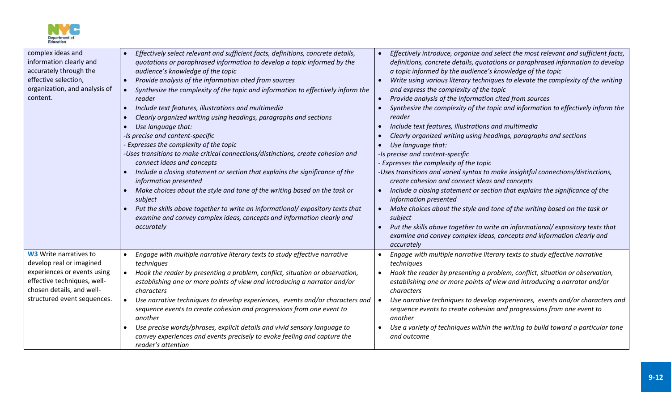

| complex ideas and<br>information clearly and<br>accurately through the<br>effective selection,<br>organization, and analysis of<br>content. | Effectively select relevant and sufficient facts, definitions, concrete details,<br>$\bullet$<br>quotations or paraphrased information to develop a topic informed by the<br>audience's knowledge of the topic<br>Provide analysis of the information cited from sources<br>$\bullet$<br>Synthesize the complexity of the topic and information to effectively inform the<br>reader<br>Include text features, illustrations and multimedia<br>Clearly organized writing using headings, paragraphs and sections<br>Use language that:<br>-Is precise and content-specific<br>- Expresses the complexity of the topic<br>-Uses transitions to make critical connections/distinctions, create cohesion and<br>connect ideas and concepts<br>Include a closing statement or section that explains the significance of the<br>information presented<br>Make choices about the style and tone of the writing based on the task or<br>subject<br>Put the skills above together to write an informational/expository texts that<br>examine and convey complex ideas, concepts and information clearly and<br>accurately | Effectively introduce, organize and select the most relevant and sufficient facts,<br>definitions, concrete details, quotations or paraphrased information to develop<br>a topic informed by the audience's knowledge of the topic<br>Write using various literary techniques to elevate the complexity of the writing<br>and express the complexity of the topic<br>Provide analysis of the information cited from sources<br>$\bullet$<br>Synthesize the complexity of the topic and information to effectively inform the<br>reader<br>Include text features, illustrations and multimedia<br>Clearly organized writing using headings, paragraphs and sections<br>Use language that:<br>-Is precise and content-specific<br>- Expresses the complexity of the topic<br>-Uses transitions and varied syntax to make insightful connections/distinctions,<br>create cohesion and connect ideas and concepts<br>Include a closing statement or section that explains the significance of the<br>$\bullet$<br>information presented<br>Make choices about the style and tone of the writing based on the task or<br>subject<br>Put the skills above together to write an informational/expository texts that<br>examine and convey complex ideas, concepts and information clearly and |
|---------------------------------------------------------------------------------------------------------------------------------------------|------------------------------------------------------------------------------------------------------------------------------------------------------------------------------------------------------------------------------------------------------------------------------------------------------------------------------------------------------------------------------------------------------------------------------------------------------------------------------------------------------------------------------------------------------------------------------------------------------------------------------------------------------------------------------------------------------------------------------------------------------------------------------------------------------------------------------------------------------------------------------------------------------------------------------------------------------------------------------------------------------------------------------------------------------------------------------------------------------------------|----------------------------------------------------------------------------------------------------------------------------------------------------------------------------------------------------------------------------------------------------------------------------------------------------------------------------------------------------------------------------------------------------------------------------------------------------------------------------------------------------------------------------------------------------------------------------------------------------------------------------------------------------------------------------------------------------------------------------------------------------------------------------------------------------------------------------------------------------------------------------------------------------------------------------------------------------------------------------------------------------------------------------------------------------------------------------------------------------------------------------------------------------------------------------------------------------------------------------------------------------------------------------------------|
| <b>W3</b> Write narratives to<br>develop real or imagined                                                                                   | Engage with multiple narrative literary texts to study effective narrative<br>techniques                                                                                                                                                                                                                                                                                                                                                                                                                                                                                                                                                                                                                                                                                                                                                                                                                                                                                                                                                                                                                         | accurately<br>Engage with multiple narrative literary texts to study effective narrative<br>techniques                                                                                                                                                                                                                                                                                                                                                                                                                                                                                                                                                                                                                                                                                                                                                                                                                                                                                                                                                                                                                                                                                                                                                                                 |
| experiences or events using<br>effective techniques, well-<br>chosen details, and well-                                                     | Hook the reader by presenting a problem, conflict, situation or observation,<br>$\bullet$<br>establishing one or more points of view and introducing a narrator and/or<br>characters                                                                                                                                                                                                                                                                                                                                                                                                                                                                                                                                                                                                                                                                                                                                                                                                                                                                                                                             | Hook the reader by presenting a problem, conflict, situation or observation,<br>establishing one or more points of view and introducing a narrator and/or<br>characters                                                                                                                                                                                                                                                                                                                                                                                                                                                                                                                                                                                                                                                                                                                                                                                                                                                                                                                                                                                                                                                                                                                |
| structured event sequences.                                                                                                                 | Use narrative techniques to develop experiences, events and/or characters and  <br>$\bullet$<br>sequence events to create cohesion and progressions from one event to<br>another                                                                                                                                                                                                                                                                                                                                                                                                                                                                                                                                                                                                                                                                                                                                                                                                                                                                                                                                 | Use narrative techniques to develop experiences, events and/or characters and<br>sequence events to create cohesion and progressions from one event to<br>another                                                                                                                                                                                                                                                                                                                                                                                                                                                                                                                                                                                                                                                                                                                                                                                                                                                                                                                                                                                                                                                                                                                      |
|                                                                                                                                             | Use precise words/phrases, explicit details and vivid sensory language to<br>convey experiences and events precisely to evoke feeling and capture the<br>reader's attention                                                                                                                                                                                                                                                                                                                                                                                                                                                                                                                                                                                                                                                                                                                                                                                                                                                                                                                                      | Use a variety of techniques within the writing to build toward a particular tone<br>and outcome                                                                                                                                                                                                                                                                                                                                                                                                                                                                                                                                                                                                                                                                                                                                                                                                                                                                                                                                                                                                                                                                                                                                                                                        |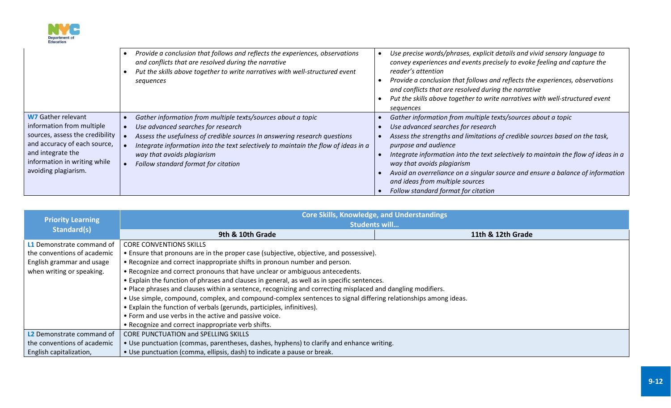

|                                                                                                                                                                                                        | Provide a conclusion that follows and reflects the experiences, observations<br>and conflicts that are resolved during the narrative<br>Put the skills above together to write narratives with well-structured event<br>sequences                                                                                                          | Use precise words/phrases, explicit details and vivid sensory language to<br>convey experiences and events precisely to evoke feeling and capture the<br>reader's attention<br>Provide a conclusion that follows and reflects the experiences, observations<br>and conflicts that are resolved during the narrative<br>Put the skills above together to write narratives with well-structured event<br>sequences                                                                          |
|--------------------------------------------------------------------------------------------------------------------------------------------------------------------------------------------------------|--------------------------------------------------------------------------------------------------------------------------------------------------------------------------------------------------------------------------------------------------------------------------------------------------------------------------------------------|-------------------------------------------------------------------------------------------------------------------------------------------------------------------------------------------------------------------------------------------------------------------------------------------------------------------------------------------------------------------------------------------------------------------------------------------------------------------------------------------|
| <b>W7 Gather relevant</b><br>information from multiple<br>sources, assess the credibility<br>and accuracy of each source,<br>and integrate the<br>information in writing while<br>avoiding plagiarism. | Gather information from multiple texts/sources about a topic<br>Use advanced searches for research<br>Assess the usefulness of credible sources In answering research questions<br>Integrate information into the text selectively to maintain the flow of ideas in a<br>way that avoids plagiarism<br>Follow standard format for citation | Gather information from multiple texts/sources about a topic<br>Use advanced searches for research<br>Assess the strengths and limitations of credible sources based on the task,<br>purpose and audience<br>Integrate information into the text selectively to maintain the flow of ideas in a<br>way that avoids plagiarism<br>Avoid an overreliance on a singular source and ensure a balance of information<br>and ideas from multiple sources<br>Follow standard format for citation |

| <b>Priority Learning</b>         | <b>Core Skills, Knowledge, and Understandings</b><br><b>Students will</b>                                      |                   |  |
|----------------------------------|----------------------------------------------------------------------------------------------------------------|-------------------|--|
| Standard(s)                      | 9th & 10th Grade                                                                                               | 11th & 12th Grade |  |
| <b>L1</b> Demonstrate command of | <b>CORE CONVENTIONS SKILLS</b>                                                                                 |                   |  |
| the conventions of academic      | • Ensure that pronouns are in the proper case (subjective, objective, and possessive).                         |                   |  |
| English grammar and usage        | • Recognize and correct inappropriate shifts in pronoun number and person.                                     |                   |  |
| when writing or speaking.        | . Recognize and correct pronouns that have unclear or ambiguous antecedents.                                   |                   |  |
|                                  | • Explain the function of phrases and clauses in general, as well as in specific sentences.                    |                   |  |
|                                  | . Place phrases and clauses within a sentence, recognizing and correcting misplaced and dangling modifiers.    |                   |  |
|                                  | . Use simple, compound, complex, and compound-complex sentences to signal differing relationships among ideas. |                   |  |
|                                  | • Explain the function of verbals (gerunds, participles, infinitives).                                         |                   |  |
|                                  | • Form and use verbs in the active and passive voice.                                                          |                   |  |
|                                  | • Recognize and correct inappropriate verb shifts.                                                             |                   |  |
| L2 Demonstrate command of        | <b>CORE PUNCTUATION and SPELLING SKILLS</b>                                                                    |                   |  |
| the conventions of academic      | . Use punctuation (commas, parentheses, dashes, hyphens) to clarify and enhance writing.                       |                   |  |
| English capitalization,          | • Use punctuation (comma, ellipsis, dash) to indicate a pause or break.                                        |                   |  |